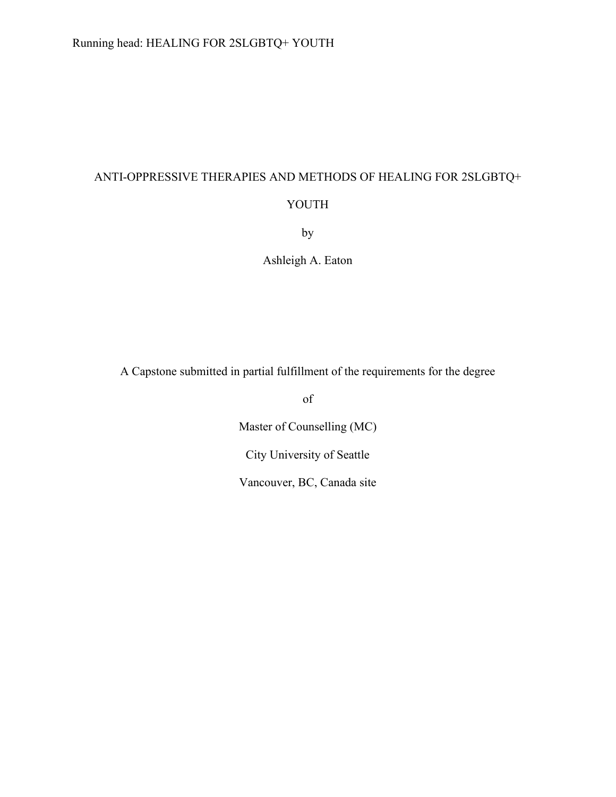# ANTI-OPPRESSIVE THERAPIES AND METHODS OF HEALING FOR 2SLGBTQ+

# YOUTH

by

Ashleigh A. Eaton

A Capstone submitted in partial fulfillment of the requirements for the degree

of

Master of Counselling (MC)

City University of Seattle

Vancouver, BC, Canada site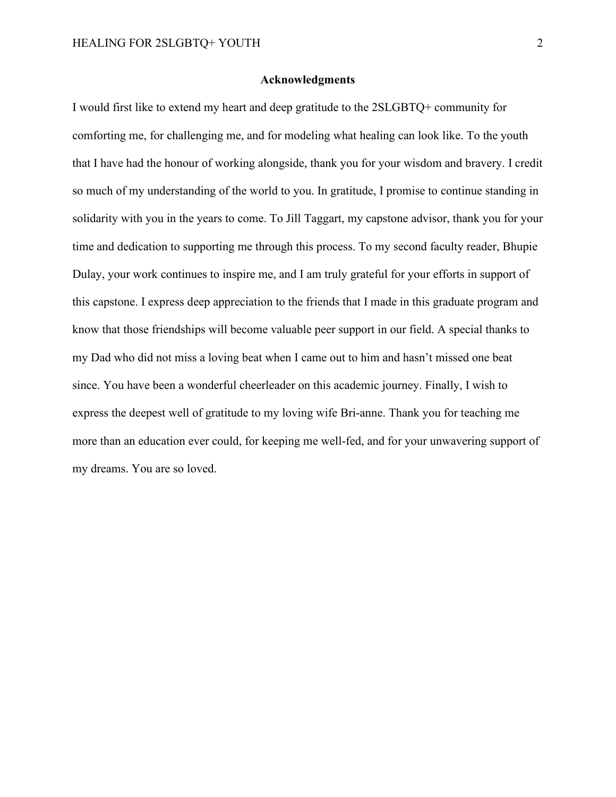#### **Acknowledgments**

<span id="page-1-1"></span><span id="page-1-0"></span>I would first like to extend my heart and deep gratitude to the 2SLGBTQ+ community for comforting me, for challenging me, and for modeling what healing can look like. To the youth that I have had the honour of working alongside, thank you for your wisdom and bravery. I credit so much of my understanding of the world to you. In gratitude, I promise to continue standing in solidarity with you in the years to come. To Jill Taggart, my capstone advisor, thank you for your time and dedication to supporting me through this process. To my second faculty reader, Bhupie Dulay, your work continues to inspire me, and I am truly grateful for your efforts in support of this capstone. I express deep appreciation to the friends that I made in this graduate program and know that those friendships will become valuable peer support in our field. A special thanks to my Dad who did not miss a loving beat when I came out to him and hasn't missed one beat since. You have been a wonderful cheerleader on this academic journey. Finally, I wish to express the deepest well of gratitude to my loving wife Bri-anne. Thank you for teaching me more than an education ever could, for keeping me well-fed, and for your unwavering support of my dreams. You are so loved.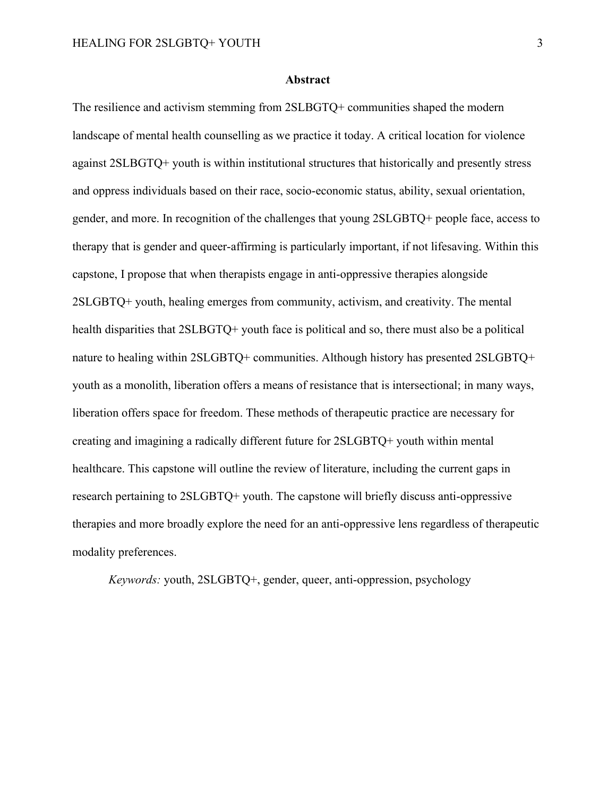#### **Abstract**

The resilience and activism stemming from 2SLBGTQ+ communities shaped the modern landscape of mental health counselling as we practice it today. A critical location for violence against 2SLBGTQ+ youth is within institutional structures that historically and presently stress and oppress individuals based on their race, socio-economic status, ability, sexual orientation, gender, and more. In recognition of the challenges that young 2SLGBTQ+ people face, access to therapy that is gender and queer-affirming is particularly important, if not lifesaving. Within this capstone, I propose that when therapists engage in anti-oppressive therapies alongside 2SLGBTQ+ youth, healing emerges from community, activism, and creativity. The mental health disparities that 2SLBGTQ+ youth face is political and so, there must also be a political nature to healing within 2SLGBTQ+ communities. Although history has presented 2SLGBTQ+ youth as a monolith, liberation offers a means of resistance that is intersectional; in many ways, liberation offers space for freedom. These methods of therapeutic practice are necessary for creating and imagining a radically different future for 2SLGBTQ+ youth within mental healthcare. This capstone will outline the review of literature, including the current gaps in research pertaining to 2SLGBTQ+ youth. The capstone will briefly discuss anti-oppressive therapies and more broadly explore the need for an anti-oppressive lens regardless of therapeutic modality preferences.

*Keywords:* youth, 2SLGBTQ+, gender, queer, anti-oppression, psychology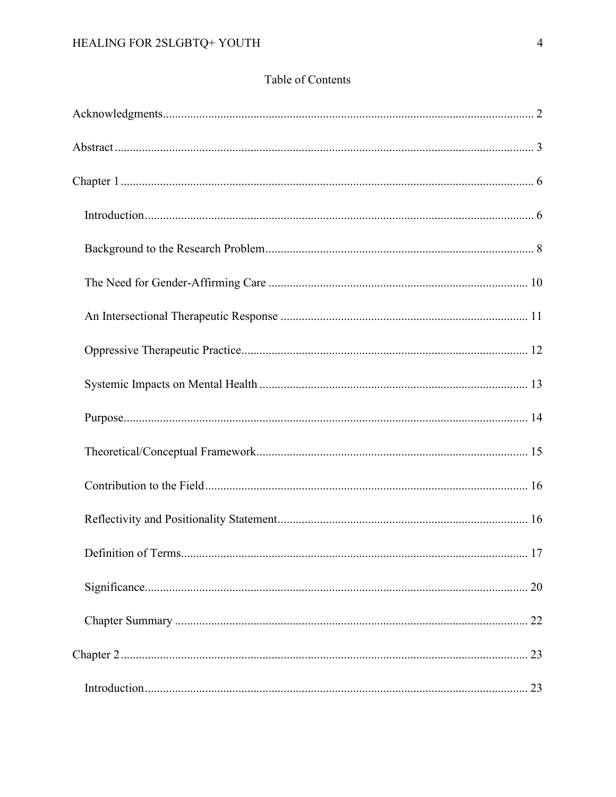# Table of Contents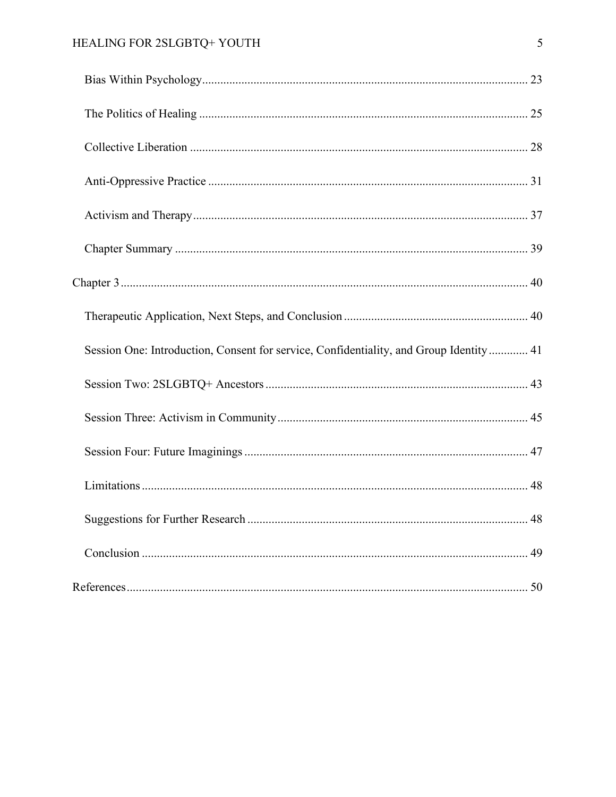# HEALING FOR 2SLGBTQ+ YOUTH

| Session One: Introduction, Consent for service, Confidentiality, and Group Identity 41 |  |
|----------------------------------------------------------------------------------------|--|
|                                                                                        |  |
|                                                                                        |  |
|                                                                                        |  |
|                                                                                        |  |
|                                                                                        |  |
|                                                                                        |  |
|                                                                                        |  |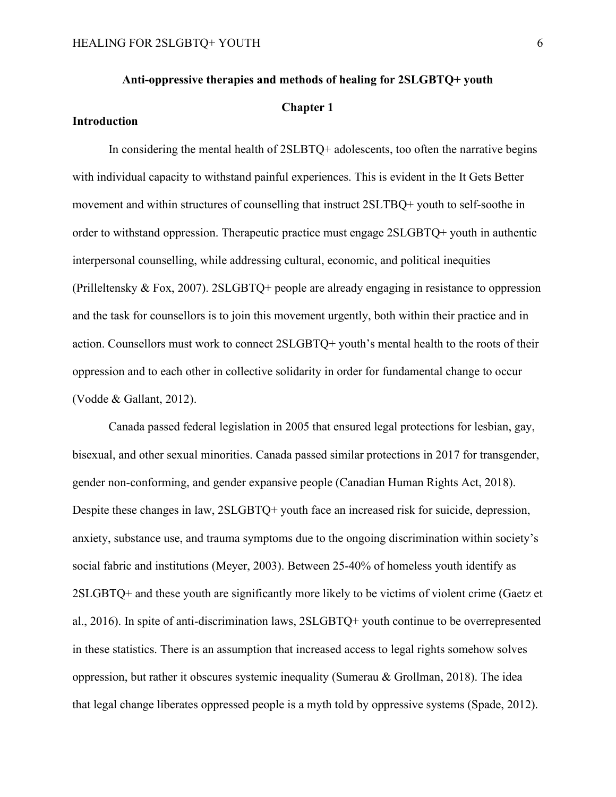#### **Anti-oppressive therapies and methods of healing for 2SLGBTQ+ youth**

## **Chapter 1**

# <span id="page-5-1"></span><span id="page-5-0"></span>**Introduction**

In considering the mental health of 2SLBTQ+ adolescents, too often the narrative begins with individual capacity to withstand painful experiences. This is evident in the It Gets Better movement and within structures of counselling that instruct 2SLTBQ+ youth to self-soothe in order to withstand oppression. Therapeutic practice must engage 2SLGBTQ+ youth in authentic interpersonal counselling, while addressing cultural, economic, and political inequities (Prilleltensky & Fox, 2007). 2SLGBTQ+ people are already engaging in resistance to oppression and the task for counsellors is to join this movement urgently, both within their practice and in action. Counsellors must work to connect 2SLGBTQ+ youth's mental health to the roots of their oppression and to each other in collective solidarity in order for fundamental change to occur (Vodde & Gallant, 2012).

Canada passed federal legislation in 2005 that ensured legal protections for lesbian, gay, bisexual, and other sexual minorities. Canada passed similar protections in 2017 for transgender, gender non-conforming, and gender expansive people (Canadian Human Rights Act, 2018). Despite these changes in law, 2SLGBTQ+ youth face an increased risk for suicide, depression, anxiety, substance use, and trauma symptoms due to the ongoing discrimination within society's social fabric and institutions (Meyer, 2003). Between 25-40% of homeless youth identify as 2SLGBTQ+ and these youth are significantly more likely to be victims of violent crime (Gaetz et al., 2016). In spite of anti-discrimination laws, 2SLGBTQ+ youth continue to be overrepresented in these statistics. There is an assumption that increased access to legal rights somehow solves oppression, but rather it obscures systemic inequality (Sumerau & Grollman, 2018). The idea that legal change liberates oppressed people is a myth told by oppressive systems (Spade, 2012).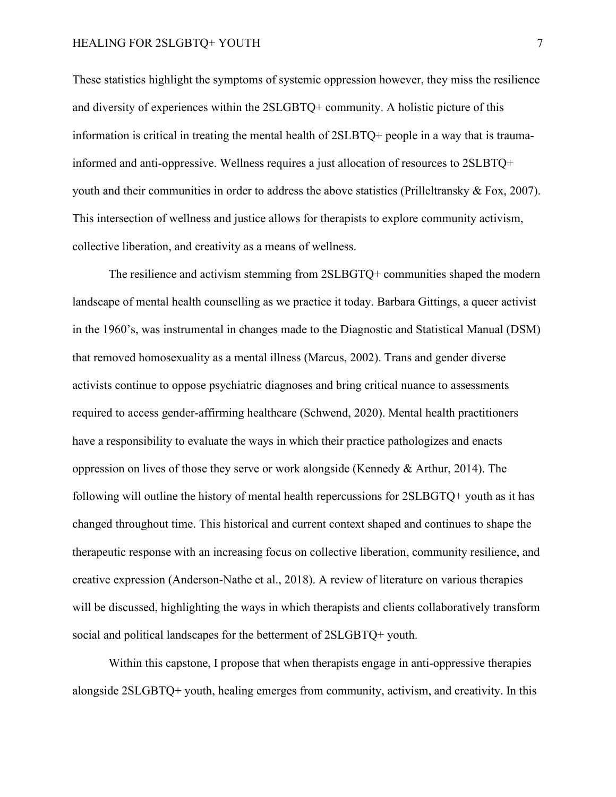These statistics highlight the symptoms of systemic oppression however, they miss the resilience and diversity of experiences within the 2SLGBTQ+ community. A holistic picture of this information is critical in treating the mental health of 2SLBTQ+ people in a way that is traumainformed and anti-oppressive. Wellness requires a just allocation of resources to 2SLBTQ+ youth and their communities in order to address the above statistics (Prilleltransky  $\&$  Fox, 2007). This intersection of wellness and justice allows for therapists to explore community activism, collective liberation, and creativity as a means of wellness.

The resilience and activism stemming from 2SLBGTQ+ communities shaped the modern landscape of mental health counselling as we practice it today. Barbara Gittings, a queer activist in the 1960's, was instrumental in changes made to the Diagnostic and Statistical Manual (DSM) that removed homosexuality as a mental illness (Marcus, 2002). Trans and gender diverse activists continue to oppose psychiatric diagnoses and bring critical nuance to assessments required to access gender-affirming healthcare (Schwend, 2020). Mental health practitioners have a responsibility to evaluate the ways in which their practice pathologizes and enacts oppression on lives of those they serve or work alongside (Kennedy & Arthur, 2014). The following will outline the history of mental health repercussions for 2SLBGTQ+ youth as it has changed throughout time. This historical and current context shaped and continues to shape the therapeutic response with an increasing focus on collective liberation, community resilience, and creative expression (Anderson-Nathe et al., 2018). A review of literature on various therapies will be discussed, highlighting the ways in which therapists and clients collaboratively transform social and political landscapes for the betterment of 2SLGBTQ+ youth.

Within this capstone, I propose that when therapists engage in anti-oppressive therapies alongside 2SLGBTQ+ youth, healing emerges from community, activism, and creativity. In this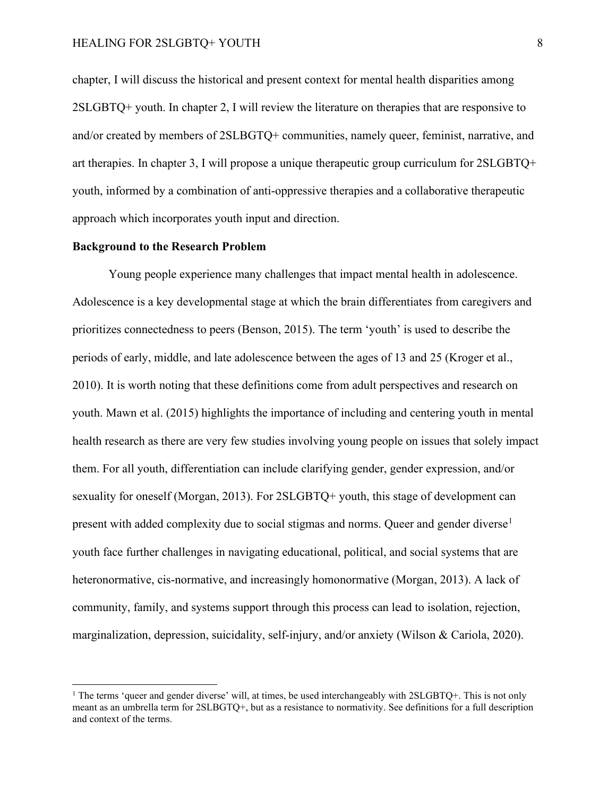chapter, I will discuss the historical and present context for mental health disparities among 2SLGBTQ+ youth. In chapter 2, I will review the literature on therapies that are responsive to and/or created by members of 2SLBGTQ+ communities, namely queer, feminist, narrative, and art therapies. In chapter 3, I will propose a unique therapeutic group curriculum for 2SLGBTQ+ youth, informed by a combination of anti-oppressive therapies and a collaborative therapeutic approach which incorporates youth input and direction.

# <span id="page-7-0"></span>**Background to the Research Problem**

Young people experience many challenges that impact mental health in adolescence. Adolescence is a key developmental stage at which the brain differentiates from caregivers and prioritizes connectedness to peers (Benson, 2015). The term 'youth' is used to describe the periods of early, middle, and late adolescence between the ages of 13 and 25 (Kroger et al., 2010). It is worth noting that these definitions come from adult perspectives and research on youth. Mawn et al. (2015) highlights the importance of including and centering youth in mental health research as there are very few studies involving young people on issues that solely impact them. For all youth, differentiation can include clarifying gender, gender expression, and/or sexuality for oneself (Morgan, 2013). For 2SLGBTQ+ youth, this stage of development can present with added complexity due to social stigmas and norms. Queer and gender diverse<sup>[1](#page-7-1)</sup> youth face further challenges in navigating educational, political, and social systems that are heteronormative, cis-normative, and increasingly homonormative (Morgan, 2013). A lack of community, family, and systems support through this process can lead to isolation, rejection, marginalization, depression, suicidality, self-injury, and/or anxiety (Wilson & Cariola, 2020).

<span id="page-7-1"></span><sup>&</sup>lt;sup>1</sup> The terms 'queer and gender diverse' will, at times, be used interchangeably with 2SLGBTQ+. This is not only meant as an umbrella term for 2SLBGTQ+, but as a resistance to normativity. See definitions for a full description and context of the terms.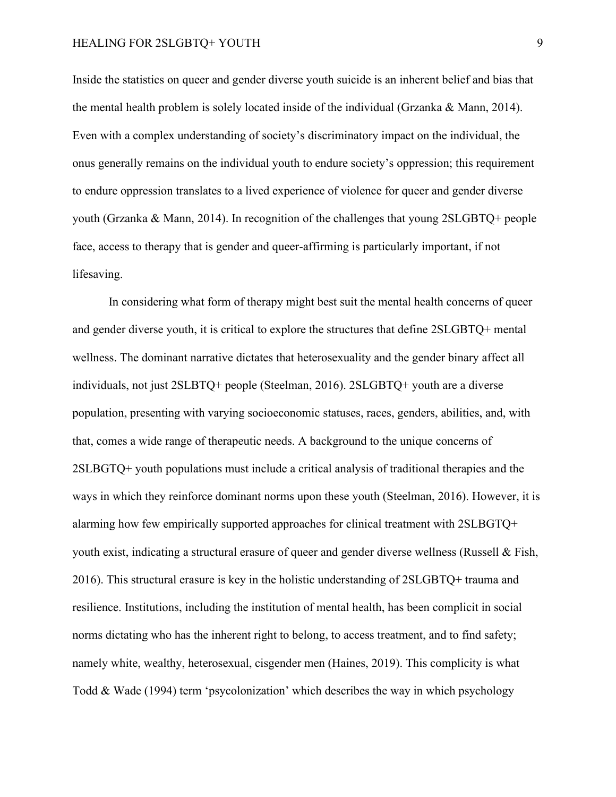Inside the statistics on queer and gender diverse youth suicide is an inherent belief and bias that the mental health problem is solely located inside of the individual (Grzanka & Mann, 2014). Even with a complex understanding of society's discriminatory impact on the individual, the onus generally remains on the individual youth to endure society's oppression; this requirement to endure oppression translates to a lived experience of violence for queer and gender diverse youth (Grzanka & Mann, 2014). In recognition of the challenges that young 2SLGBTQ+ people face, access to therapy that is gender and queer-affirming is particularly important, if not lifesaving.

In considering what form of therapy might best suit the mental health concerns of queer and gender diverse youth, it is critical to explore the structures that define 2SLGBTQ+ mental wellness. The dominant narrative dictates that heterosexuality and the gender binary affect all individuals, not just 2SLBTQ+ people (Steelman, 2016). 2SLGBTQ+ youth are a diverse population, presenting with varying socioeconomic statuses, races, genders, abilities, and, with that, comes a wide range of therapeutic needs. A background to the unique concerns of 2SLBGTQ+ youth populations must include a critical analysis of traditional therapies and the ways in which they reinforce dominant norms upon these youth (Steelman, 2016). However, it is alarming how few empirically supported approaches for clinical treatment with 2SLBGTQ+ youth exist, indicating a structural erasure of queer and gender diverse wellness (Russell & Fish, 2016). This structural erasure is key in the holistic understanding of 2SLGBTQ+ trauma and resilience. Institutions, including the institution of mental health, has been complicit in social norms dictating who has the inherent right to belong, to access treatment, and to find safety; namely white, wealthy, heterosexual, cisgender men (Haines, 2019). This complicity is what Todd & Wade (1994) term 'psycolonization' which describes the way in which psychology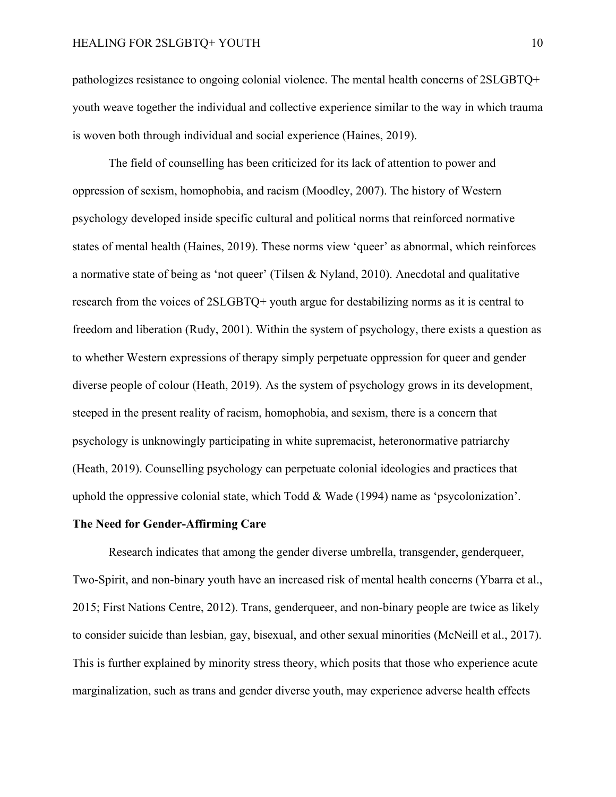pathologizes resistance to ongoing colonial violence. The mental health concerns of 2SLGBTQ+ youth weave together the individual and collective experience similar to the way in which trauma is woven both through individual and social experience (Haines, 2019).

The field of counselling has been criticized for its lack of attention to power and oppression of sexism, homophobia, and racism (Moodley, 2007). The history of Western psychology developed inside specific cultural and political norms that reinforced normative states of mental health (Haines, 2019). These norms view 'queer' as abnormal, which reinforces a normative state of being as 'not queer' (Tilsen & Nyland, 2010). Anecdotal and qualitative research from the voices of 2SLGBTQ+ youth argue for destabilizing norms as it is central to freedom and liberation (Rudy, 2001). Within the system of psychology, there exists a question as to whether Western expressions of therapy simply perpetuate oppression for queer and gender diverse people of colour (Heath, 2019). As the system of psychology grows in its development, steeped in the present reality of racism, homophobia, and sexism, there is a concern that psychology is unknowingly participating in white supremacist, heteronormative patriarchy (Heath, 2019). Counselling psychology can perpetuate colonial ideologies and practices that uphold the oppressive colonial state, which Todd & Wade (1994) name as 'psycolonization'.

#### <span id="page-9-0"></span>**The Need for Gender-Affirming Care**

Research indicates that among the gender diverse umbrella, transgender, genderqueer, Two-Spirit, and non-binary youth have an increased risk of mental health concerns (Ybarra et al., 2015; First Nations Centre, 2012). Trans, genderqueer, and non-binary people are twice as likely to consider suicide than lesbian, gay, bisexual, and other sexual minorities (McNeill et al., 2017). This is further explained by minority stress theory, which posits that those who experience acute marginalization, such as trans and gender diverse youth, may experience adverse health effects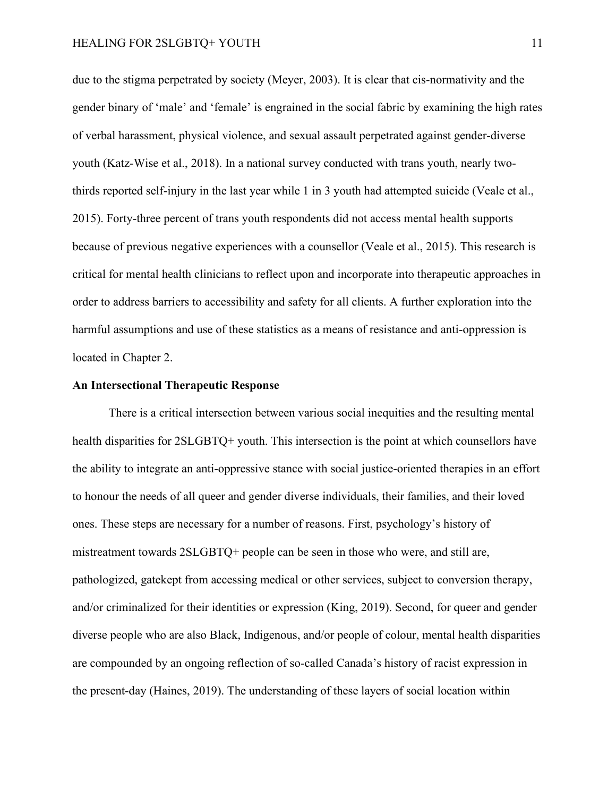due to the stigma perpetrated by society (Meyer, 2003). It is clear that cis-normativity and the gender binary of 'male' and 'female' is engrained in the social fabric by examining the high rates of verbal harassment, physical violence, and sexual assault perpetrated against gender-diverse youth (Katz-Wise et al., 2018). In a national survey conducted with trans youth, nearly twothirds reported self-injury in the last year while 1 in 3 youth had attempted suicide (Veale et al., 2015). Forty-three percent of trans youth respondents did not access mental health supports because of previous negative experiences with a counsellor (Veale et al., 2015). This research is critical for mental health clinicians to reflect upon and incorporate into therapeutic approaches in order to address barriers to accessibility and safety for all clients. A further exploration into the harmful assumptions and use of these statistics as a means of resistance and anti-oppression is located in Chapter 2.

#### <span id="page-10-0"></span>**An Intersectional Therapeutic Response**

There is a critical intersection between various social inequities and the resulting mental health disparities for  $2SLGBTQ+$  youth. This intersection is the point at which counsellors have the ability to integrate an anti-oppressive stance with social justice-oriented therapies in an effort to honour the needs of all queer and gender diverse individuals, their families, and their loved ones. These steps are necessary for a number of reasons. First, psychology's history of mistreatment towards 2SLGBTQ+ people can be seen in those who were, and still are, pathologized, gatekept from accessing medical or other services, subject to conversion therapy, and/or criminalized for their identities or expression (King, 2019). Second, for queer and gender diverse people who are also Black, Indigenous, and/or people of colour, mental health disparities are compounded by an ongoing reflection of so-called Canada's history of racist expression in the present-day (Haines, 2019). The understanding of these layers of social location within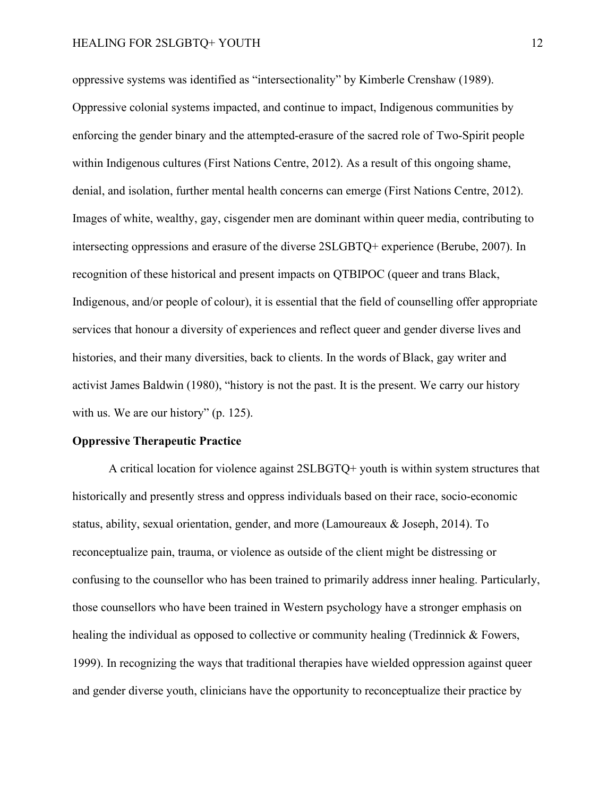oppressive systems was identified as "intersectionality" by Kimberle Crenshaw (1989). Oppressive colonial systems impacted, and continue to impact, Indigenous communities by enforcing the gender binary and the attempted-erasure of the sacred role of Two-Spirit people within Indigenous cultures (First Nations Centre, 2012). As a result of this ongoing shame, denial, and isolation, further mental health concerns can emerge (First Nations Centre, 2012). Images of white, wealthy, gay, cisgender men are dominant within queer media, contributing to intersecting oppressions and erasure of the diverse 2SLGBTQ+ experience (Berube, 2007). In recognition of these historical and present impacts on QTBIPOC (queer and trans Black, Indigenous, and/or people of colour), it is essential that the field of counselling offer appropriate services that honour a diversity of experiences and reflect queer and gender diverse lives and histories, and their many diversities, back to clients. In the words of Black, gay writer and activist James Baldwin (1980), "history is not the past. It is the present. We carry our history with us. We are our history" (p. 125).

#### <span id="page-11-0"></span>**Oppressive Therapeutic Practice**

A critical location for violence against 2SLBGTQ+ youth is within system structures that historically and presently stress and oppress individuals based on their race, socio-economic status, ability, sexual orientation, gender, and more (Lamoureaux & Joseph, 2014). To reconceptualize pain, trauma, or violence as outside of the client might be distressing or confusing to the counsellor who has been trained to primarily address inner healing. Particularly, those counsellors who have been trained in Western psychology have a stronger emphasis on healing the individual as opposed to collective or community healing (Tredinnick & Fowers, 1999). In recognizing the ways that traditional therapies have wielded oppression against queer and gender diverse youth, clinicians have the opportunity to reconceptualize their practice by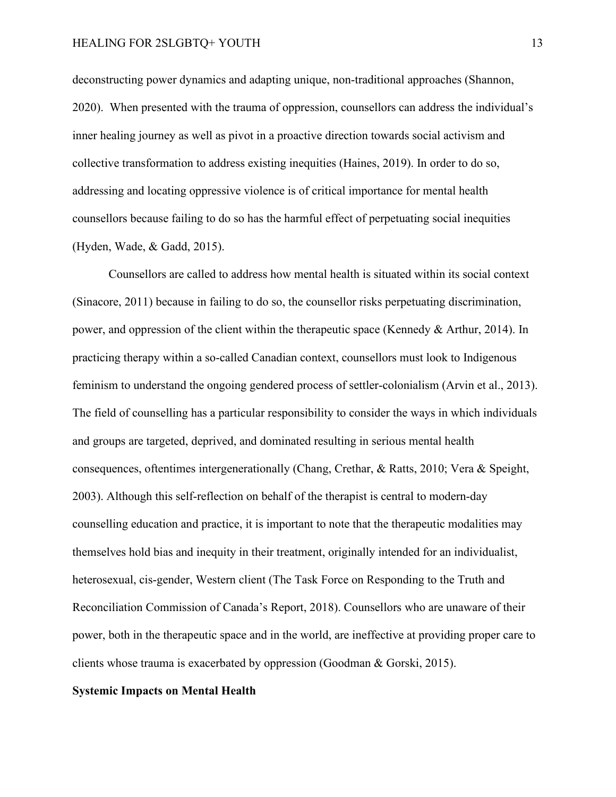deconstructing power dynamics and adapting unique, non-traditional approaches (Shannon, 2020). When presented with the trauma of oppression, counsellors can address the individual's inner healing journey as well as pivot in a proactive direction towards social activism and collective transformation to address existing inequities (Haines, 2019). In order to do so, addressing and locating oppressive violence is of critical importance for mental health counsellors because failing to do so has the harmful effect of perpetuating social inequities (Hyden, Wade, & Gadd, 2015).

Counsellors are called to address how mental health is situated within its social context (Sinacore, 2011) because in failing to do so, the counsellor risks perpetuating discrimination, power, and oppression of the client within the therapeutic space (Kennedy & Arthur, 2014). In practicing therapy within a so-called Canadian context, counsellors must look to Indigenous feminism to understand the ongoing gendered process of settler-colonialism (Arvin et al., 2013). The field of counselling has a particular responsibility to consider the ways in which individuals and groups are targeted, deprived, and dominated resulting in serious mental health consequences, oftentimes intergenerationally (Chang, Crethar, & Ratts, 2010; Vera & Speight, 2003). Although this self-reflection on behalf of the therapist is central to modern-day counselling education and practice, it is important to note that the therapeutic modalities may themselves hold bias and inequity in their treatment, originally intended for an individualist, heterosexual, cis-gender, Western client (The Task Force on Responding to the Truth and Reconciliation Commission of Canada's Report, 2018). Counsellors who are unaware of their power, both in the therapeutic space and in the world, are ineffective at providing proper care to clients whose trauma is exacerbated by oppression (Goodman & Gorski, 2015).

#### <span id="page-12-0"></span>**Systemic Impacts on Mental Health**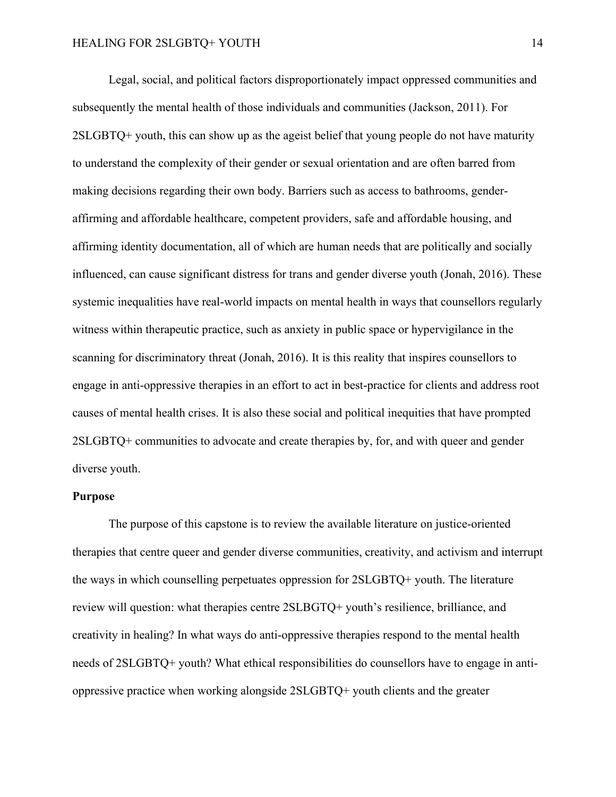Legal, social, and political factors disproportionately impact oppressed communities and subsequently the mental health of those individuals and communities (Jackson, 2011). For 2SLGBTQ+ youth, this can show up as the ageist belief that young people do not have maturity to understand the complexity of their gender or sexual orientation and are often barred from making decisions regarding their own body. Barriers such as access to bathrooms, genderaffirming and affordable healthcare, competent providers, safe and affordable housing, and affirming identity documentation, all of which are human needs that are politically and socially influenced, can cause significant distress for trans and gender diverse youth (Jonah, 2016). These systemic inequalities have real-world impacts on mental health in ways that counsellors regularly witness within therapeutic practice, such as anxiety in public space or hypervigilance in the scanning for discriminatory threat (Jonah, 2016). It is this reality that inspires counsellors to engage in anti-oppressive therapies in an effort to act in best-practice for clients and address root causes of mental health crises. It is also these social and political inequities that have prompted 2SLGBTQ+ communities to advocate and create therapies by, for, and with queer and gender diverse youth.

## <span id="page-13-0"></span>**Purpose**

The purpose of this capstone is to review the available literature on justice-oriented therapies that centre queer and gender diverse communities, creativity, and activism and interrupt the ways in which counselling perpetuates oppression for 2SLGBTQ+ youth. The literature review will question: what therapies centre 2SLBGTQ+ youth's resilience, brilliance, and creativity in healing? In what ways do anti-oppressive therapies respond to the mental health needs of 2SLGBTQ+ youth? What ethical responsibilities do counsellors have to engage in antioppressive practice when working alongside 2SLGBTQ+ youth clients and the greater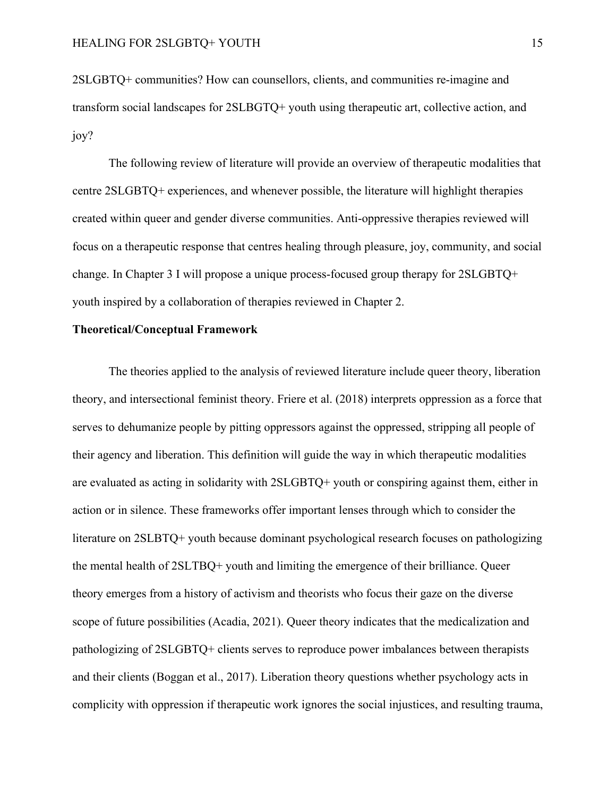2SLGBTQ+ communities? How can counsellors, clients, and communities re-imagine and transform social landscapes for 2SLBGTQ+ youth using therapeutic art, collective action, and joy?

The following review of literature will provide an overview of therapeutic modalities that centre 2SLGBTQ+ experiences, and whenever possible, the literature will highlight therapies created within queer and gender diverse communities. Anti-oppressive therapies reviewed will focus on a therapeutic response that centres healing through pleasure, joy, community, and social change. In Chapter 3 I will propose a unique process-focused group therapy for 2SLGBTQ+ youth inspired by a collaboration of therapies reviewed in Chapter 2.

#### <span id="page-14-0"></span>**Theoretical/Conceptual Framework**

The theories applied to the analysis of reviewed literature include queer theory, liberation theory, and intersectional feminist theory. Friere et al. (2018) interprets oppression as a force that serves to dehumanize people by pitting oppressors against the oppressed, stripping all people of their agency and liberation. This definition will guide the way in which therapeutic modalities are evaluated as acting in solidarity with 2SLGBTQ+ youth or conspiring against them, either in action or in silence. These frameworks offer important lenses through which to consider the literature on 2SLBTQ+ youth because dominant psychological research focuses on pathologizing the mental health of 2SLTBQ+ youth and limiting the emergence of their brilliance. Queer theory emerges from a history of activism and theorists who focus their gaze on the diverse scope of future possibilities (Acadia, 2021). Queer theory indicates that the medicalization and pathologizing of 2SLGBTQ+ clients serves to reproduce power imbalances between therapists and their clients (Boggan et al., 2017). Liberation theory questions whether psychology acts in complicity with oppression if therapeutic work ignores the social injustices, and resulting trauma,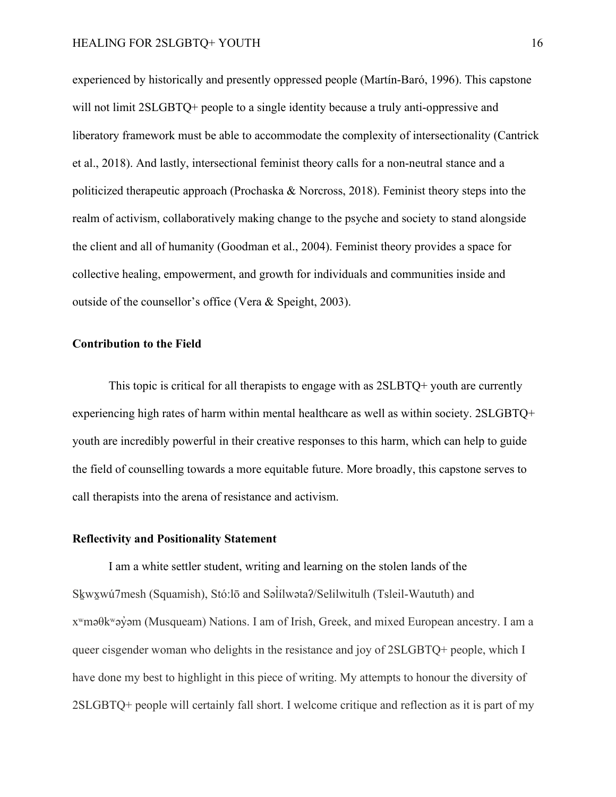experienced by historically and presently oppressed people (Martín-Baró, 1996). This capstone will not limit 2SLGBTQ+ people to a single identity because a truly anti-oppressive and liberatory framework must be able to accommodate the complexity of intersectionality (Cantrick et al., 2018). And lastly, intersectional feminist theory calls for a non-neutral stance and a politicized therapeutic approach (Prochaska & Norcross, 2018). Feminist theory steps into the realm of activism, collaboratively making change to the psyche and society to stand alongside the client and all of humanity (Goodman et al., 2004). Feminist theory provides a space for collective healing, empowerment, and growth for individuals and communities inside and outside of the counsellor's office (Vera & Speight, 2003).

# <span id="page-15-0"></span>**Contribution to the Field**

This topic is critical for all therapists to engage with as  $2SLBTQ+$  youth are currently experiencing high rates of harm within mental healthcare as well as within society. 2SLGBTQ+ youth are incredibly powerful in their creative responses to this harm, which can help to guide the field of counselling towards a more equitable future. More broadly, this capstone serves to call therapists into the arena of resistance and activism.

# <span id="page-15-1"></span>**Reflectivity and Positionality Statement**

I am a white settler student, writing and learning on the stolen lands of the Skwxwú7mesh (Squamish), Stó:lō and Səlilwəta?/Selilwitulh (Tsleil-Waututh) and xʷməθkʷəy̓əm (Musqueam) Nations. I am of Irish, Greek, and mixed European ancestry. I am a queer cisgender woman who delights in the resistance and joy of 2SLGBTQ+ people, which I have done my best to highlight in this piece of writing. My attempts to honour the diversity of 2SLGBTQ+ people will certainly fall short. I welcome critique and reflection as it is part of my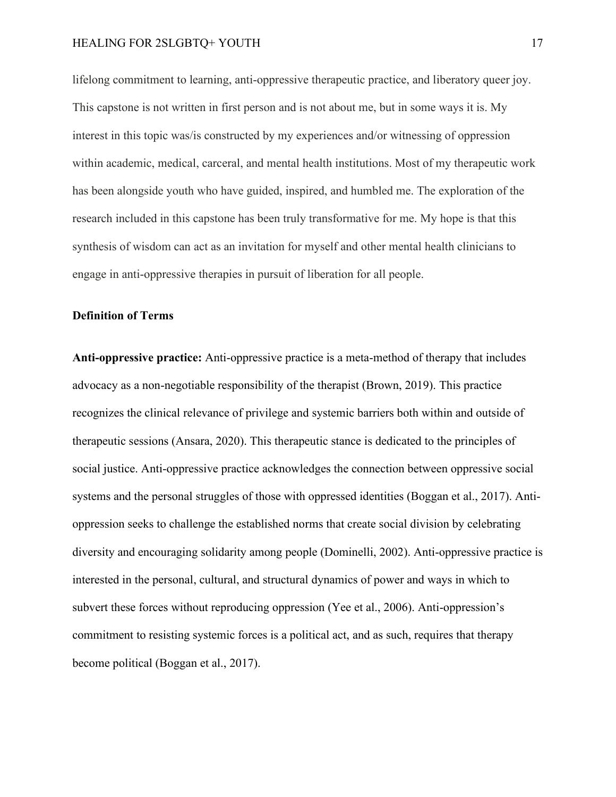lifelong commitment to learning, anti-oppressive therapeutic practice, and liberatory queer joy. This capstone is not written in first person and is not about me, but in some ways it is. My interest in this topic was/is constructed by my experiences and/or witnessing of oppression within academic, medical, carceral, and mental health institutions. Most of my therapeutic work has been alongside youth who have guided, inspired, and humbled me. The exploration of the research included in this capstone has been truly transformative for me. My hope is that this synthesis of wisdom can act as an invitation for myself and other mental health clinicians to engage in anti-oppressive therapies in pursuit of liberation for all people.

# <span id="page-16-0"></span>**Definition of Terms**

**Anti-oppressive practice:** Anti-oppressive practice is a meta-method of therapy that includes advocacy as a non-negotiable responsibility of the therapist (Brown, 2019). This practice recognizes the clinical relevance of privilege and systemic barriers both within and outside of therapeutic sessions (Ansara, 2020). This therapeutic stance is dedicated to the principles of social justice. Anti-oppressive practice acknowledges the connection between oppressive social systems and the personal struggles of those with oppressed identities (Boggan et al., 2017). Antioppression seeks to challenge the established norms that create social division by celebrating diversity and encouraging solidarity among people (Dominelli, 2002). Anti-oppressive practice is interested in the personal, cultural, and structural dynamics of power and ways in which to subvert these forces without reproducing oppression (Yee et al., 2006). Anti-oppression's commitment to resisting systemic forces is a political act, and as such, requires that therapy become political (Boggan et al., 2017).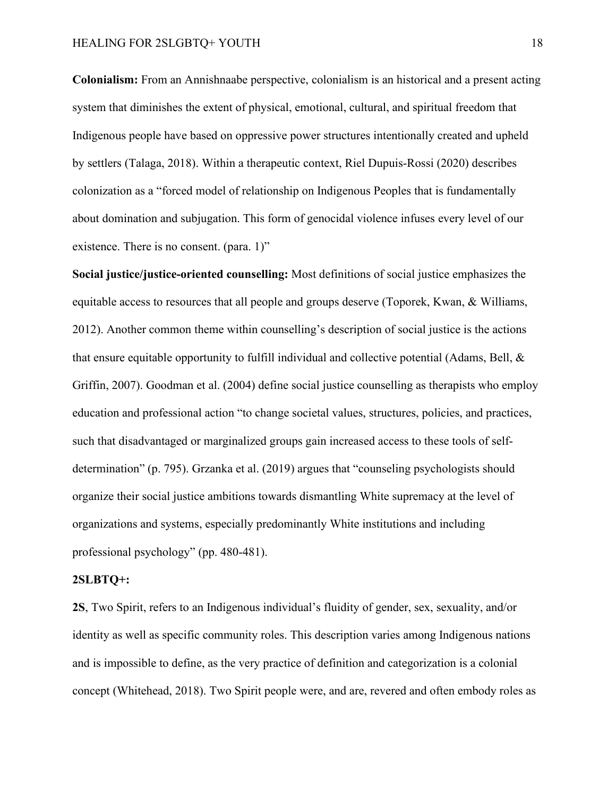**Colonialism:** From an Annishnaabe perspective, colonialism is an historical and a present acting system that diminishes the extent of physical, emotional, cultural, and spiritual freedom that Indigenous people have based on oppressive power structures intentionally created and upheld by settlers (Talaga, 2018). Within a therapeutic context, Riel Dupuis-Rossi (2020) describes colonization as a "forced model of relationship on Indigenous Peoples that is fundamentally about domination and subjugation. This form of genocidal violence infuses every level of our existence. There is no consent. (para. 1)"

**Social justice/justice-oriented counselling:** Most definitions of social justice emphasizes the equitable access to resources that all people and groups deserve (Toporek, Kwan, & Williams, 2012). Another common theme within counselling's description of social justice is the actions that ensure equitable opportunity to fulfill individual and collective potential (Adams, Bell, & Griffin, 2007). Goodman et al. (2004) define social justice counselling as therapists who employ education and professional action "to change societal values, structures, policies, and practices, such that disadvantaged or marginalized groups gain increased access to these tools of selfdetermination" (p. 795). Grzanka et al. (2019) argues that "counseling psychologists should organize their social justice ambitions towards dismantling White supremacy at the level of organizations and systems, especially predominantly White institutions and including professional psychology" (pp. 480-481).

#### **2SLBTQ+:**

**2S**, Two Spirit, refers to an Indigenous individual's fluidity of gender, sex, sexuality, and/or identity as well as specific community roles. This description varies among Indigenous nations and is impossible to define, as the very practice of definition and categorization is a colonial concept (Whitehead, 2018). Two Spirit people were, and are, revered and often embody roles as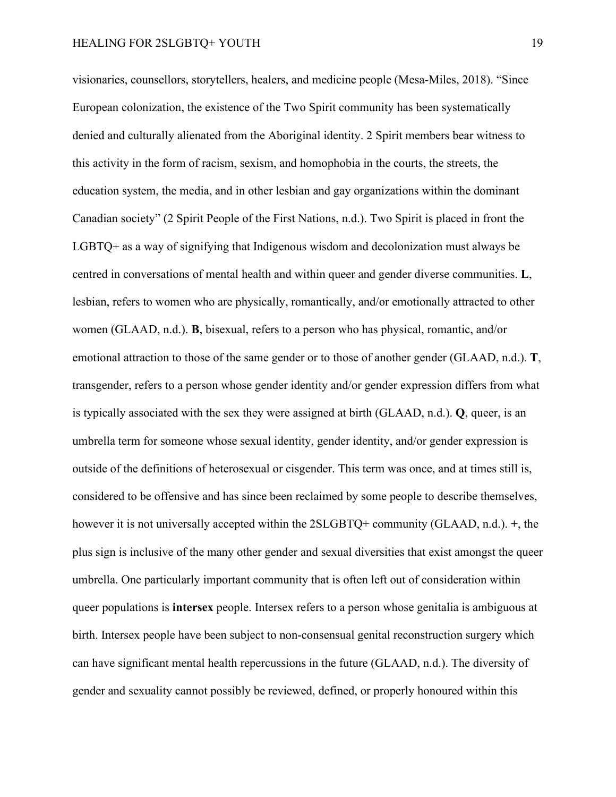visionaries, counsellors, storytellers, healers, and medicine people (Mesa-Miles, 2018). "Since European colonization, the existence of the Two Spirit community has been systematically denied and culturally alienated from the Aboriginal identity. 2 Spirit members bear witness to this activity in the form of racism, sexism, and homophobia in the courts, the streets, the education system, the media, and in other lesbian and gay organizations within the dominant Canadian society" (2 Spirit People of the First Nations, n.d.). Two Spirit is placed in front the LGBTQ+ as a way of signifying that Indigenous wisdom and decolonization must always be centred in conversations of mental health and within queer and gender diverse communities. **L**, lesbian, refers to women who are physically, romantically, and/or emotionally attracted to other women (GLAAD, n.d.). **B**, bisexual, refers to a person who has physical, romantic, and/or emotional attraction to those of the same gender or to those of another gender (GLAAD, n.d.). **T**, transgender, refers to a person whose gender identity and/or gender expression differs from what is typically associated with the sex they were assigned at birth (GLAAD, n.d.). **Q**, queer, is an umbrella term for someone whose sexual identity, gender identity, and/or gender expression is outside of the definitions of heterosexual or cisgender. This term was once, and at times still is, considered to be offensive and has since been reclaimed by some people to describe themselves, however it is not universally accepted within the 2SLGBTQ+ community (GLAAD, n.d.). **+**, the plus sign is inclusive of the many other gender and sexual diversities that exist amongst the queer umbrella. One particularly important community that is often left out of consideration within queer populations is **intersex** people. Intersex refers to a person whose genitalia is ambiguous at birth. Intersex people have been subject to non-consensual genital reconstruction surgery which can have significant mental health repercussions in the future (GLAAD, n.d.). The diversity of gender and sexuality cannot possibly be reviewed, defined, or properly honoured within this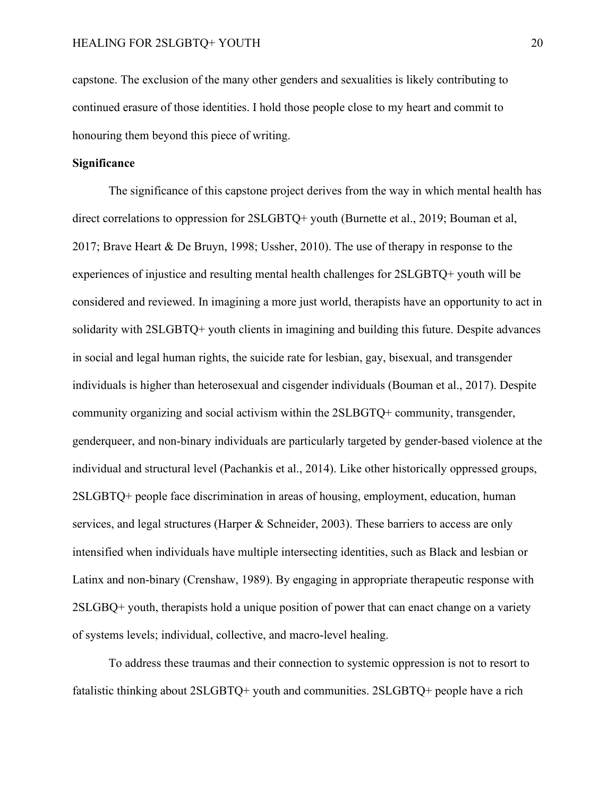capstone. The exclusion of the many other genders and sexualities is likely contributing to continued erasure of those identities. I hold those people close to my heart and commit to honouring them beyond this piece of writing.

### <span id="page-19-0"></span>**Significance**

The significance of this capstone project derives from the way in which mental health has direct correlations to oppression for 2SLGBTQ+ youth (Burnette et al., 2019; Bouman et al, 2017; Brave Heart & De Bruyn, 1998; Ussher, 2010). The use of therapy in response to the experiences of injustice and resulting mental health challenges for 2SLGBTQ+ youth will be considered and reviewed. In imagining a more just world, therapists have an opportunity to act in solidarity with 2SLGBTQ+ youth clients in imagining and building this future. Despite advances in social and legal human rights, the suicide rate for lesbian, gay, bisexual, and transgender individuals is higher than heterosexual and cisgender individuals (Bouman et al., 2017). Despite community organizing and social activism within the 2SLBGTQ+ community, transgender, genderqueer, and non-binary individuals are particularly targeted by gender-based violence at the individual and structural level (Pachankis et al., 2014). Like other historically oppressed groups, 2SLGBTQ+ people face discrimination in areas of housing, employment, education, human services, and legal structures (Harper & Schneider, 2003). These barriers to access are only intensified when individuals have multiple intersecting identities, such as Black and lesbian or Latinx and non-binary (Crenshaw, 1989). By engaging in appropriate therapeutic response with 2SLGBQ+ youth, therapists hold a unique position of power that can enact change on a variety of systems levels; individual, collective, and macro-level healing.

To address these traumas and their connection to systemic oppression is not to resort to fatalistic thinking about 2SLGBTQ+ youth and communities. 2SLGBTQ+ people have a rich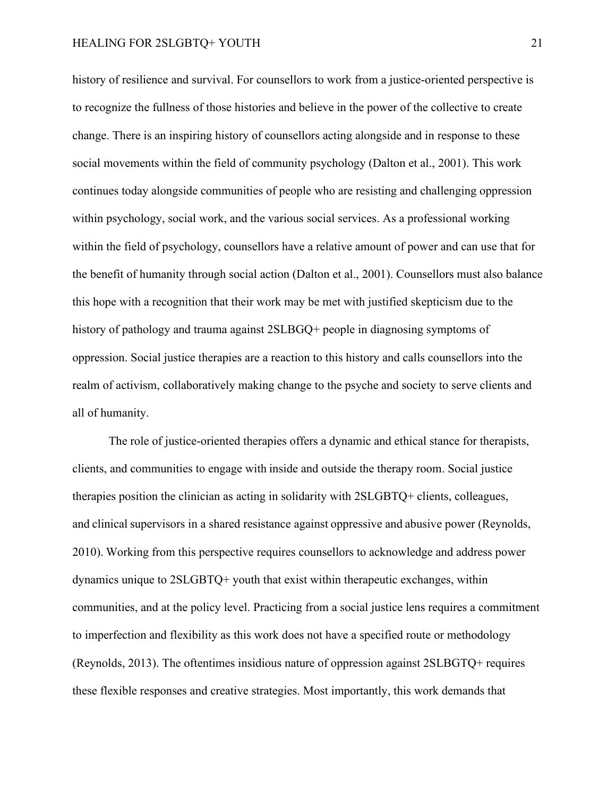history of resilience and survival. For counsellors to work from a justice-oriented perspective is to recognize the fullness of those histories and believe in the power of the collective to create change. There is an inspiring history of counsellors acting alongside and in response to these social movements within the field of community psychology (Dalton et al., 2001). This work continues today alongside communities of people who are resisting and challenging oppression within psychology, social work, and the various social services. As a professional working within the field of psychology, counsellors have a relative amount of power and can use that for the benefit of humanity through social action (Dalton et al., 2001). Counsellors must also balance this hope with a recognition that their work may be met with justified skepticism due to the history of pathology and trauma against 2SLBGQ+ people in diagnosing symptoms of oppression. Social justice therapies are a reaction to this history and calls counsellors into the realm of activism, collaboratively making change to the psyche and society to serve clients and all of humanity.

The role of justice-oriented therapies offers a dynamic and ethical stance for therapists, clients, and communities to engage with inside and outside the therapy room. Social justice therapies position the clinician as acting in solidarity with 2SLGBTQ+ clients, colleagues, and clinical supervisors in a shared resistance against oppressive and abusive power (Reynolds, 2010). Working from this perspective requires counsellors to acknowledge and address power dynamics unique to 2SLGBTQ+ youth that exist within therapeutic exchanges, within communities, and at the policy level. Practicing from a social justice lens requires a commitment to imperfection and flexibility as this work does not have a specified route or methodology (Reynolds, 2013). The oftentimes insidious nature of oppression against 2SLBGTQ+ requires these flexible responses and creative strategies. Most importantly, this work demands that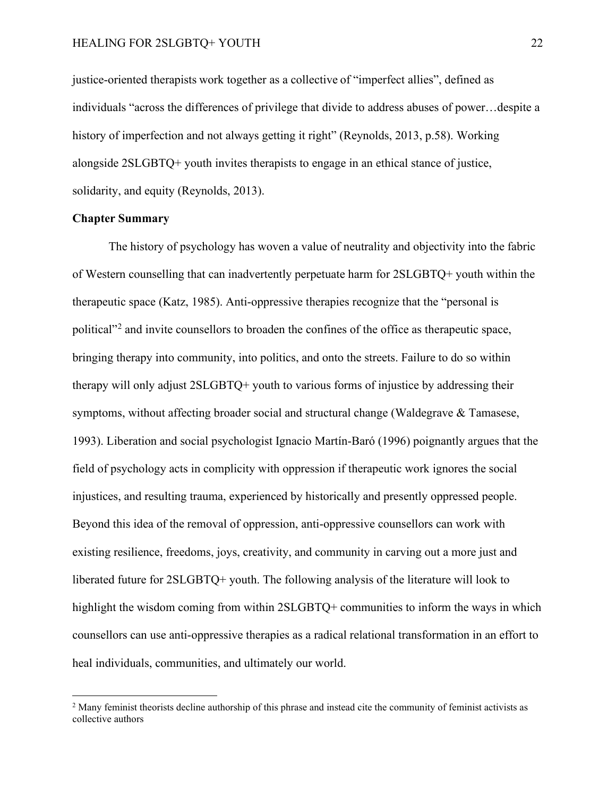justice-oriented therapists work together as a collective of "imperfect allies", defined as individuals "across the differences of privilege that divide to address abuses of power…despite a history of imperfection and not always getting it right" (Reynolds, 2013, p.58). Working alongside 2SLGBTQ+ youth invites therapists to engage in an ethical stance of justice, solidarity, and equity (Reynolds, 2013).

## <span id="page-21-0"></span>**Chapter Summary**

The history of psychology has woven a value of neutrality and objectivity into the fabric of Western counselling that can inadvertently perpetuate harm for 2SLGBTQ+ youth within the therapeutic space (Katz, 1985). Anti-oppressive therapies recognize that the "personal is political"<sup>[2](#page-21-1)</sup> and invite counsellors to broaden the confines of the office as therapeutic space, bringing therapy into community, into politics, and onto the streets. Failure to do so within therapy will only adjust 2SLGBTQ+ youth to various forms of injustice by addressing their symptoms, without affecting broader social and structural change (Waldegrave & Tamasese, 1993). Liberation and social psychologist Ignacio Martín-Baró (1996) poignantly argues that the field of psychology acts in complicity with oppression if therapeutic work ignores the social injustices, and resulting trauma, experienced by historically and presently oppressed people. Beyond this idea of the removal of oppression, anti-oppressive counsellors can work with existing resilience, freedoms, joys, creativity, and community in carving out a more just and liberated future for 2SLGBTQ+ youth. The following analysis of the literature will look to highlight the wisdom coming from within 2SLGBTQ+ communities to inform the ways in which counsellors can use anti-oppressive therapies as a radical relational transformation in an effort to heal individuals, communities, and ultimately our world.

<span id="page-21-1"></span><sup>&</sup>lt;sup>2</sup> Many feminist theorists decline authorship of this phrase and instead cite the community of feminist activists as collective authors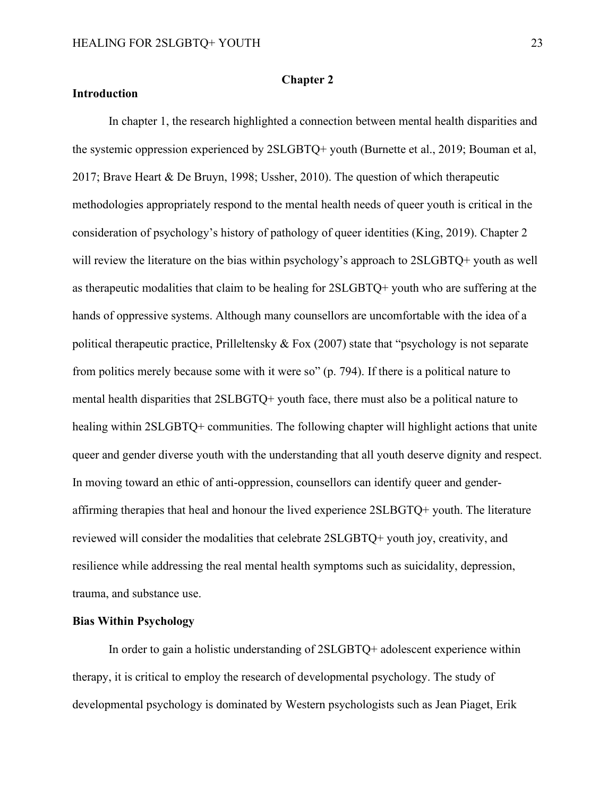#### **Chapter 2**

# <span id="page-22-1"></span><span id="page-22-0"></span>**Introduction**

In chapter 1, the research highlighted a connection between mental health disparities and the systemic oppression experienced by 2SLGBTQ+ youth (Burnette et al., 2019; Bouman et al, 2017; Brave Heart & De Bruyn, 1998; Ussher, 2010). The question of which therapeutic methodologies appropriately respond to the mental health needs of queer youth is critical in the consideration of psychology's history of pathology of queer identities (King, 2019). Chapter 2 will review the literature on the bias within psychology's approach to 2SLGBTQ+ youth as well as therapeutic modalities that claim to be healing for 2SLGBTQ+ youth who are suffering at the hands of oppressive systems. Although many counsellors are uncomfortable with the idea of a political therapeutic practice, Prilleltensky & Fox (2007) state that "psychology is not separate from politics merely because some with it were so" (p. 794). If there is a political nature to mental health disparities that 2SLBGTQ+ youth face, there must also be a political nature to healing within 2SLGBTQ+ communities. The following chapter will highlight actions that unite queer and gender diverse youth with the understanding that all youth deserve dignity and respect. In moving toward an ethic of anti-oppression, counsellors can identify queer and genderaffirming therapies that heal and honour the lived experience 2SLBGTQ+ youth. The literature reviewed will consider the modalities that celebrate 2SLGBTQ+ youth joy, creativity, and resilience while addressing the real mental health symptoms such as suicidality, depression, trauma, and substance use.

#### <span id="page-22-2"></span>**Bias Within Psychology**

In order to gain a holistic understanding of 2SLGBTQ+ adolescent experience within therapy, it is critical to employ the research of developmental psychology. The study of developmental psychology is dominated by Western psychologists such as Jean Piaget, Erik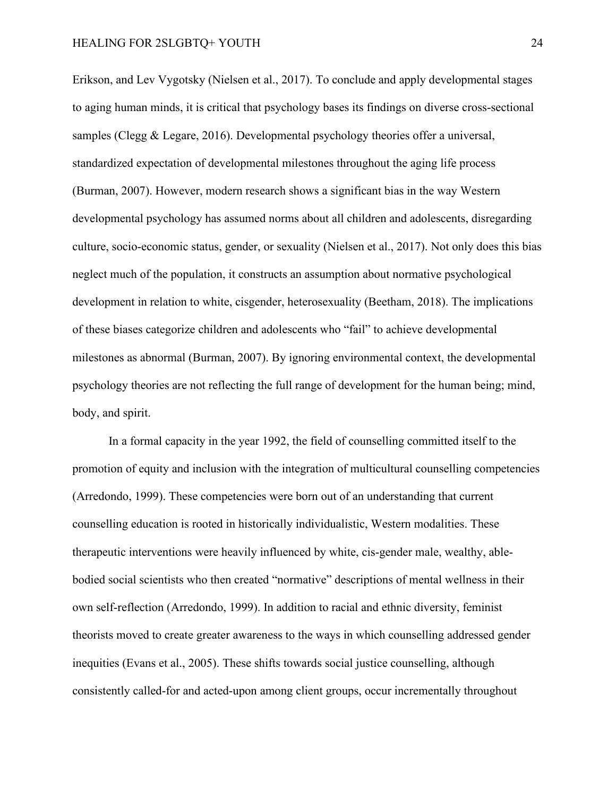Erikson, and Lev Vygotsky (Nielsen et al., 2017). To conclude and apply developmental stages to aging human minds, it is critical that psychology bases its findings on diverse cross-sectional samples (Clegg & Legare, 2016). Developmental psychology theories offer a universal, standardized expectation of developmental milestones throughout the aging life process (Burman, 2007). However, modern research shows a significant bias in the way Western developmental psychology has assumed norms about all children and adolescents, disregarding culture, socio-economic status, gender, or sexuality (Nielsen et al., 2017). Not only does this bias neglect much of the population, it constructs an assumption about normative psychological development in relation to white, cisgender, heterosexuality (Beetham, 2018). The implications of these biases categorize children and adolescents who "fail" to achieve developmental milestones as abnormal (Burman, 2007). By ignoring environmental context, the developmental psychology theories are not reflecting the full range of development for the human being; mind, body, and spirit.

In a formal capacity in the year 1992, the field of counselling committed itself to the promotion of equity and inclusion with the integration of multicultural counselling competencies (Arredondo, 1999). These competencies were born out of an understanding that current counselling education is rooted in historically individualistic, Western modalities. These therapeutic interventions were heavily influenced by white, cis-gender male, wealthy, ablebodied social scientists who then created "normative" descriptions of mental wellness in their own self-reflection (Arredondo, 1999). In addition to racial and ethnic diversity, feminist theorists moved to create greater awareness to the ways in which counselling addressed gender inequities (Evans et al., 2005). These shifts towards social justice counselling, although consistently called-for and acted-upon among client groups, occur incrementally throughout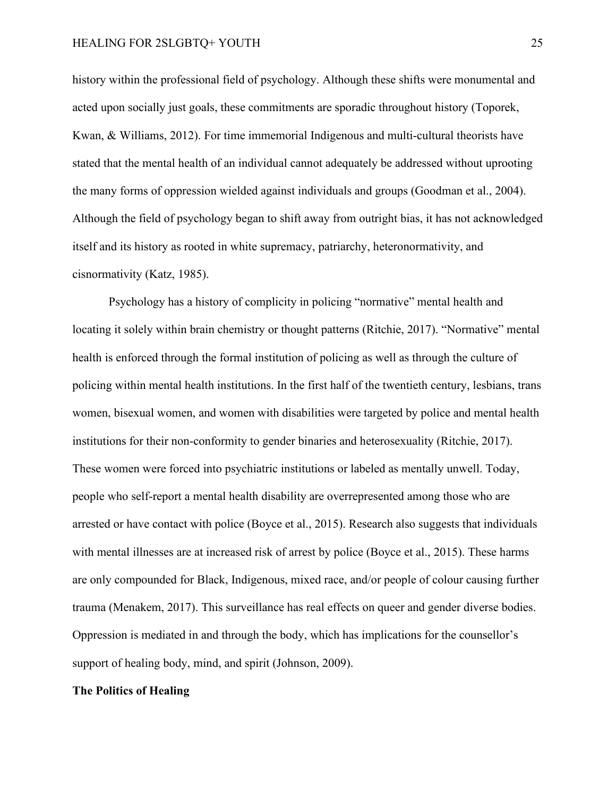history within the professional field of psychology. Although these shifts were monumental and acted upon socially just goals, these commitments are sporadic throughout history (Toporek, Kwan, & Williams, 2012). For time immemorial Indigenous and multi-cultural theorists have stated that the mental health of an individual cannot adequately be addressed without uprooting the many forms of oppression wielded against individuals and groups (Goodman et al., 2004). Although the field of psychology began to shift away from outright bias, it has not acknowledged itself and its history as rooted in white supremacy, patriarchy, heteronormativity, and cisnormativity (Katz, 1985).

Psychology has a history of complicity in policing "normative" mental health and locating it solely within brain chemistry or thought patterns (Ritchie, 2017). "Normative" mental health is enforced through the formal institution of policing as well as through the culture of policing within mental health institutions. In the first half of the twentieth century, lesbians, trans women, bisexual women, and women with disabilities were targeted by police and mental health institutions for their non-conformity to gender binaries and heterosexuality (Ritchie, 2017). These women were forced into psychiatric institutions or labeled as mentally unwell. Today, people who self-report a mental health disability are overrepresented among those who are arrested or have contact with police (Boyce et al., 2015). Research also suggests that individuals with mental illnesses are at increased risk of arrest by police (Boyce et al., 2015). These harms are only compounded for Black, Indigenous, mixed race, and/or people of colour causing further trauma (Menakem, 2017). This surveillance has real effects on queer and gender diverse bodies. Oppression is mediated in and through the body, which has implications for the counsellor's support of healing body, mind, and spirit (Johnson, 2009).

#### <span id="page-24-0"></span>**The Politics of Healing**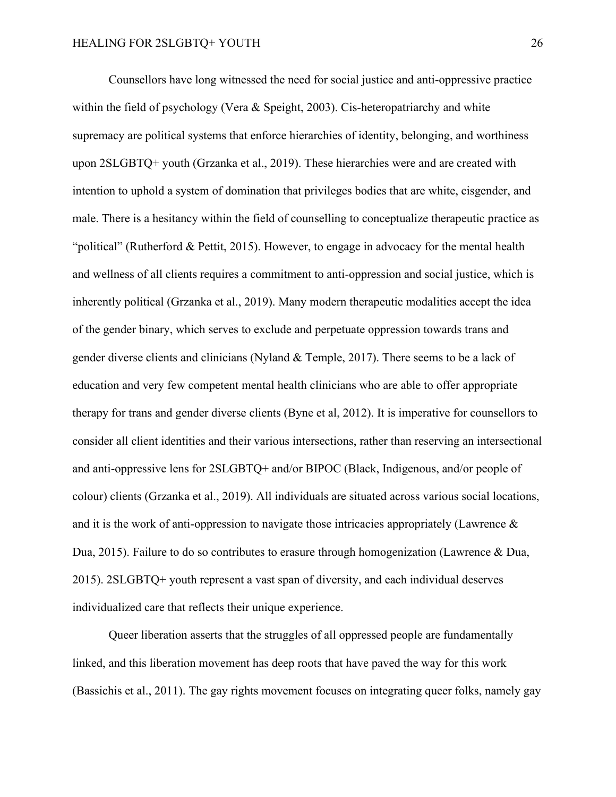Counsellors have long witnessed the need for social justice and anti-oppressive practice within the field of psychology (Vera & Speight, 2003). Cis-heteropatriarchy and white supremacy are political systems that enforce hierarchies of identity, belonging, and worthiness upon 2SLGBTQ+ youth (Grzanka et al., 2019). These hierarchies were and are created with intention to uphold a system of domination that privileges bodies that are white, cisgender, and male. There is a hesitancy within the field of counselling to conceptualize therapeutic practice as "political" (Rutherford & Pettit, 2015). However, to engage in advocacy for the mental health and wellness of all clients requires a commitment to anti-oppression and social justice, which is inherently political (Grzanka et al., 2019). Many modern therapeutic modalities accept the idea of the gender binary, which serves to exclude and perpetuate oppression towards trans and gender diverse clients and clinicians (Nyland & Temple, 2017). There seems to be a lack of education and very few competent mental health clinicians who are able to offer appropriate therapy for trans and gender diverse clients (Byne et al, 2012). It is imperative for counsellors to consider all client identities and their various intersections, rather than reserving an intersectional and anti-oppressive lens for 2SLGBTQ+ and/or BIPOC (Black, Indigenous, and/or people of colour) clients (Grzanka et al., 2019). All individuals are situated across various social locations, and it is the work of anti-oppression to navigate those intricacies appropriately (Lawrence  $\&$ Dua, 2015). Failure to do so contributes to erasure through homogenization (Lawrence & Dua, 2015). 2SLGBTQ+ youth represent a vast span of diversity, and each individual deserves individualized care that reflects their unique experience.

Queer liberation asserts that the struggles of all oppressed people are fundamentally linked, and this liberation movement has deep roots that have paved the way for this work (Bassichis et al., 2011). The gay rights movement focuses on integrating queer folks, namely gay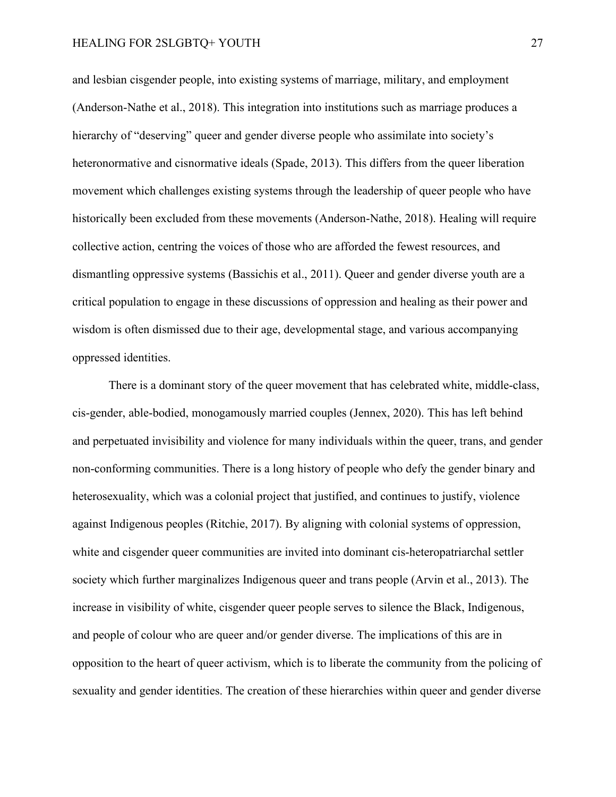and lesbian cisgender people, into existing systems of marriage, military, and employment (Anderson-Nathe et al., 2018). This integration into institutions such as marriage produces a hierarchy of "deserving" queer and gender diverse people who assimilate into society's heteronormative and cisnormative ideals (Spade, 2013). This differs from the queer liberation movement which challenges existing systems through the leadership of queer people who have historically been excluded from these movements (Anderson-Nathe, 2018). Healing will require collective action, centring the voices of those who are afforded the fewest resources, and dismantling oppressive systems (Bassichis et al., 2011). Queer and gender diverse youth are a critical population to engage in these discussions of oppression and healing as their power and wisdom is often dismissed due to their age, developmental stage, and various accompanying oppressed identities.

There is a dominant story of the queer movement that has celebrated white, middle-class, cis-gender, able-bodied, monogamously married couples (Jennex, 2020). This has left behind and perpetuated invisibility and violence for many individuals within the queer, trans, and gender non-conforming communities. There is a long history of people who defy the gender binary and heterosexuality, which was a colonial project that justified, and continues to justify, violence against Indigenous peoples (Ritchie, 2017). By aligning with colonial systems of oppression, white and cisgender queer communities are invited into dominant cis-heteropatriarchal settler society which further marginalizes Indigenous queer and trans people (Arvin et al., 2013). The increase in visibility of white, cisgender queer people serves to silence the Black, Indigenous, and people of colour who are queer and/or gender diverse. The implications of this are in opposition to the heart of queer activism, which is to liberate the community from the policing of sexuality and gender identities. The creation of these hierarchies within queer and gender diverse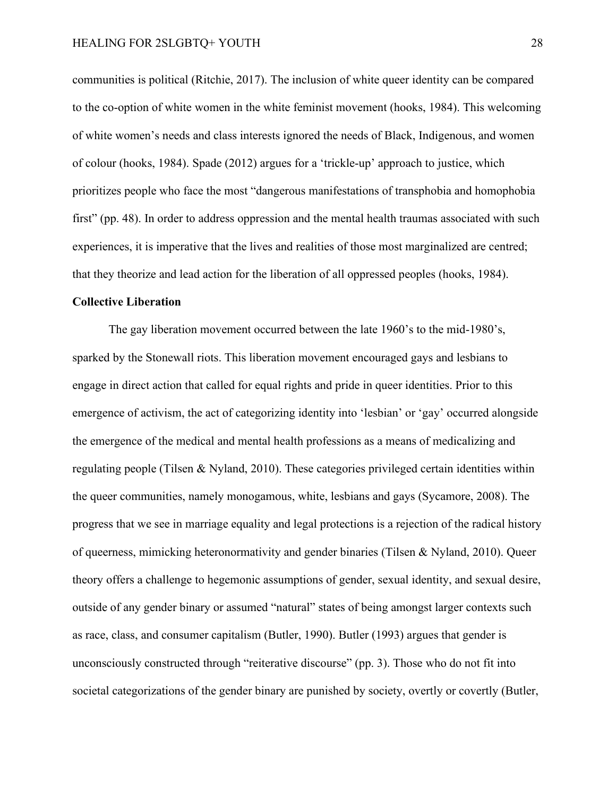communities is political (Ritchie, 2017). The inclusion of white queer identity can be compared to the co-option of white women in the white feminist movement (hooks, 1984). This welcoming of white women's needs and class interests ignored the needs of Black, Indigenous, and women of colour (hooks, 1984). Spade (2012) argues for a 'trickle-up' approach to justice, which prioritizes people who face the most "dangerous manifestations of transphobia and homophobia first" (pp. 48). In order to address oppression and the mental health traumas associated with such experiences, it is imperative that the lives and realities of those most marginalized are centred; that they theorize and lead action for the liberation of all oppressed peoples (hooks, 1984).

#### <span id="page-27-0"></span>**Collective Liberation**

The gay liberation movement occurred between the late 1960's to the mid-1980's, sparked by the Stonewall riots. This liberation movement encouraged gays and lesbians to engage in direct action that called for equal rights and pride in queer identities. Prior to this emergence of activism, the act of categorizing identity into 'lesbian' or 'gay' occurred alongside the emergence of the medical and mental health professions as a means of medicalizing and regulating people (Tilsen & Nyland, 2010). These categories privileged certain identities within the queer communities, namely monogamous, white, lesbians and gays (Sycamore, 2008). The progress that we see in marriage equality and legal protections is a rejection of the radical history of queerness, mimicking heteronormativity and gender binaries (Tilsen & Nyland, 2010). Queer theory offers a challenge to hegemonic assumptions of gender, sexual identity, and sexual desire, outside of any gender binary or assumed "natural" states of being amongst larger contexts such as race, class, and consumer capitalism (Butler, 1990). Butler (1993) argues that gender is unconsciously constructed through "reiterative discourse" (pp. 3). Those who do not fit into societal categorizations of the gender binary are punished by society, overtly or covertly (Butler,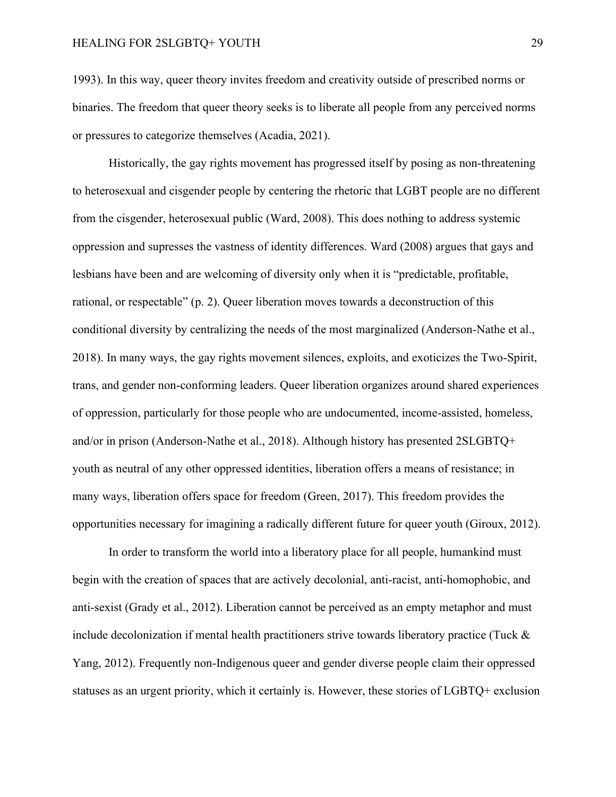1993). In this way, queer theory invites freedom and creativity outside of prescribed norms or binaries. The freedom that queer theory seeks is to liberate all people from any perceived norms or pressures to categorize themselves (Acadia, 2021).

Historically, the gay rights movement has progressed itself by posing as non-threatening to heterosexual and cisgender people by centering the rhetoric that LGBT people are no different from the cisgender, heterosexual public (Ward, 2008). This does nothing to address systemic oppression and supresses the vastness of identity differences. Ward (2008) argues that gays and lesbians have been and are welcoming of diversity only when it is "predictable, profitable, rational, or respectable" (p. 2). Queer liberation moves towards a deconstruction of this conditional diversity by centralizing the needs of the most marginalized (Anderson-Nathe et al., 2018). In many ways, the gay rights movement silences, exploits, and exoticizes the Two-Spirit, trans, and gender non-conforming leaders. Queer liberation organizes around shared experiences of oppression, particularly for those people who are undocumented, income-assisted, homeless, and/or in prison (Anderson-Nathe et al., 2018). Although history has presented 2SLGBTQ+ youth as neutral of any other oppressed identities, liberation offers a means of resistance; in many ways, liberation offers space for freedom (Green, 2017). This freedom provides the opportunities necessary for imagining a radically different future for queer youth (Giroux, 2012).

In order to transform the world into a liberatory place for all people, humankind must begin with the creation of spaces that are actively decolonial, anti-racist, anti-homophobic, and anti-sexist (Grady et al., 2012). Liberation cannot be perceived as an empty metaphor and must include decolonization if mental health practitioners strive towards liberatory practice (Tuck & Yang, 2012). Frequently non-Indigenous queer and gender diverse people claim their oppressed statuses as an urgent priority, which it certainly is. However, these stories of LGBTQ+ exclusion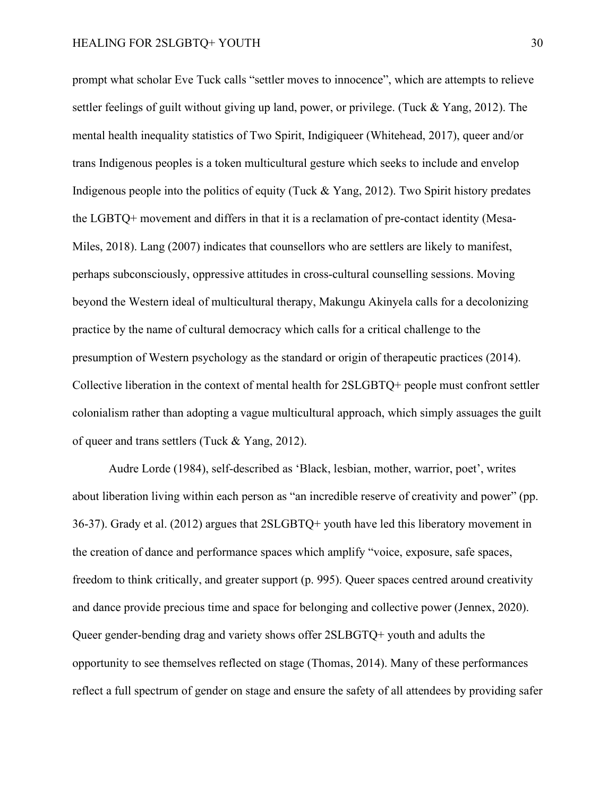prompt what scholar Eve Tuck calls "settler moves to innocence", which are attempts to relieve settler feelings of guilt without giving up land, power, or privilege. (Tuck & Yang, 2012). The mental health inequality statistics of Two Spirit, Indigiqueer (Whitehead, 2017), queer and/or trans Indigenous peoples is a token multicultural gesture which seeks to include and envelop Indigenous people into the politics of equity (Tuck & Yang, 2012). Two Spirit history predates the LGBTQ+ movement and differs in that it is a reclamation of pre-contact identity (Mesa-Miles, 2018). Lang (2007) indicates that counsellors who are settlers are likely to manifest, perhaps subconsciously, oppressive attitudes in cross-cultural counselling sessions. Moving beyond the Western ideal of multicultural therapy, Makungu Akinyela calls for a decolonizing practice by the name of cultural democracy which calls for a critical challenge to the presumption of Western psychology as the standard or origin of therapeutic practices (2014). Collective liberation in the context of mental health for 2SLGBTQ+ people must confront settler colonialism rather than adopting a vague multicultural approach, which simply assuages the guilt of queer and trans settlers (Tuck & Yang, 2012).

Audre Lorde (1984), self-described as 'Black, lesbian, mother, warrior, poet', writes about liberation living within each person as "an incredible reserve of creativity and power" (pp. 36-37). Grady et al. (2012) argues that 2SLGBTQ+ youth have led this liberatory movement in the creation of dance and performance spaces which amplify "voice, exposure, safe spaces, freedom to think critically, and greater support (p. 995). Queer spaces centred around creativity and dance provide precious time and space for belonging and collective power (Jennex, 2020). Queer gender-bending drag and variety shows offer 2SLBGTQ+ youth and adults the opportunity to see themselves reflected on stage (Thomas, 2014). Many of these performances reflect a full spectrum of gender on stage and ensure the safety of all attendees by providing safer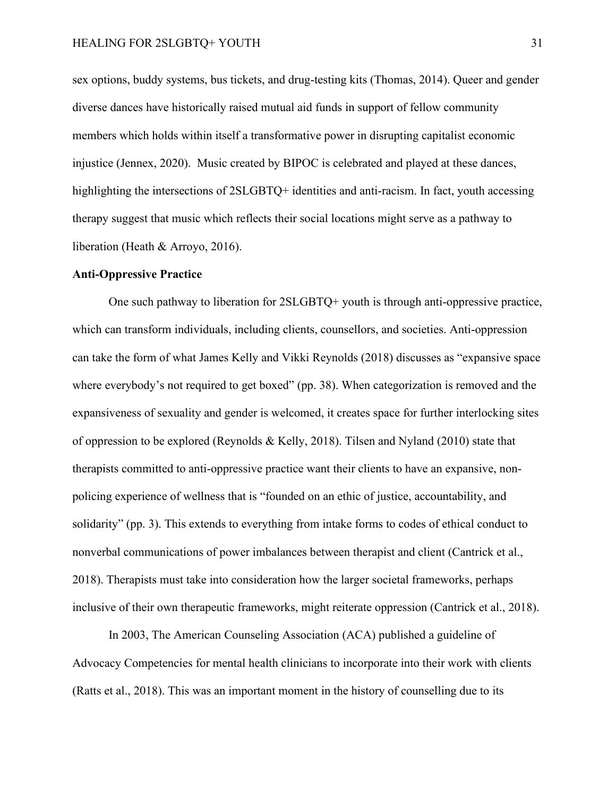sex options, buddy systems, bus tickets, and drug-testing kits (Thomas, 2014). Queer and gender diverse dances have historically raised mutual aid funds in support of fellow community members which holds within itself a transformative power in disrupting capitalist economic injustice (Jennex, 2020). Music created by BIPOC is celebrated and played at these dances, highlighting the intersections of 2SLGBTQ+ identities and anti-racism. In fact, youth accessing therapy suggest that music which reflects their social locations might serve as a pathway to liberation (Heath & Arroyo, 2016).

#### <span id="page-30-0"></span>**Anti-Oppressive Practice**

One such pathway to liberation for 2SLGBTQ+ youth is through anti-oppressive practice, which can transform individuals, including clients, counsellors, and societies. Anti-oppression can take the form of what James Kelly and Vikki Reynolds (2018) discusses as "expansive space where everybody's not required to get boxed" (pp. 38). When categorization is removed and the expansiveness of sexuality and gender is welcomed, it creates space for further interlocking sites of oppression to be explored (Reynolds & Kelly, 2018). Tilsen and Nyland (2010) state that therapists committed to anti-oppressive practice want their clients to have an expansive, nonpolicing experience of wellness that is "founded on an ethic of justice, accountability, and solidarity" (pp. 3). This extends to everything from intake forms to codes of ethical conduct to nonverbal communications of power imbalances between therapist and client (Cantrick et al., 2018). Therapists must take into consideration how the larger societal frameworks, perhaps inclusive of their own therapeutic frameworks, might reiterate oppression (Cantrick et al., 2018).

In 2003, The American Counseling Association (ACA) published a guideline of Advocacy Competencies for mental health clinicians to incorporate into their work with clients (Ratts et al., 2018). This was an important moment in the history of counselling due to its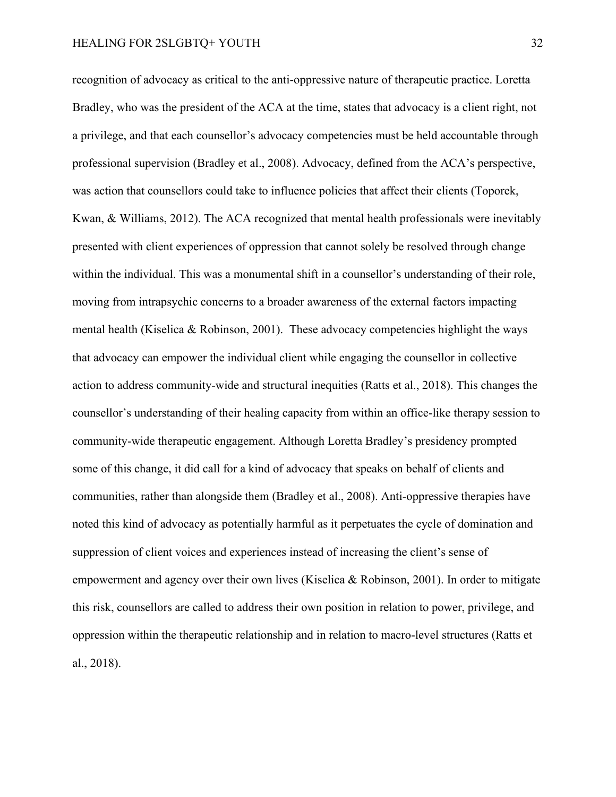recognition of advocacy as critical to the anti-oppressive nature of therapeutic practice. Loretta Bradley, who was the president of the ACA at the time, states that advocacy is a client right, not a privilege, and that each counsellor's advocacy competencies must be held accountable through professional supervision (Bradley et al., 2008). Advocacy, defined from the ACA's perspective, was action that counsellors could take to influence policies that affect their clients (Toporek, Kwan, & Williams, 2012). The ACA recognized that mental health professionals were inevitably presented with client experiences of oppression that cannot solely be resolved through change within the individual. This was a monumental shift in a counsellor's understanding of their role, moving from intrapsychic concerns to a broader awareness of the external factors impacting mental health (Kiselica & Robinson, 2001). These advocacy competencies highlight the ways that advocacy can empower the individual client while engaging the counsellor in collective action to address community-wide and structural inequities (Ratts et al., 2018). This changes the counsellor's understanding of their healing capacity from within an office-like therapy session to community-wide therapeutic engagement. Although Loretta Bradley's presidency prompted some of this change, it did call for a kind of advocacy that speaks on behalf of clients and communities, rather than alongside them (Bradley et al., 2008). Anti-oppressive therapies have noted this kind of advocacy as potentially harmful as it perpetuates the cycle of domination and suppression of client voices and experiences instead of increasing the client's sense of empowerment and agency over their own lives (Kiselica & Robinson, 2001). In order to mitigate this risk, counsellors are called to address their own position in relation to power, privilege, and oppression within the therapeutic relationship and in relation to macro-level structures (Ratts et al., 2018).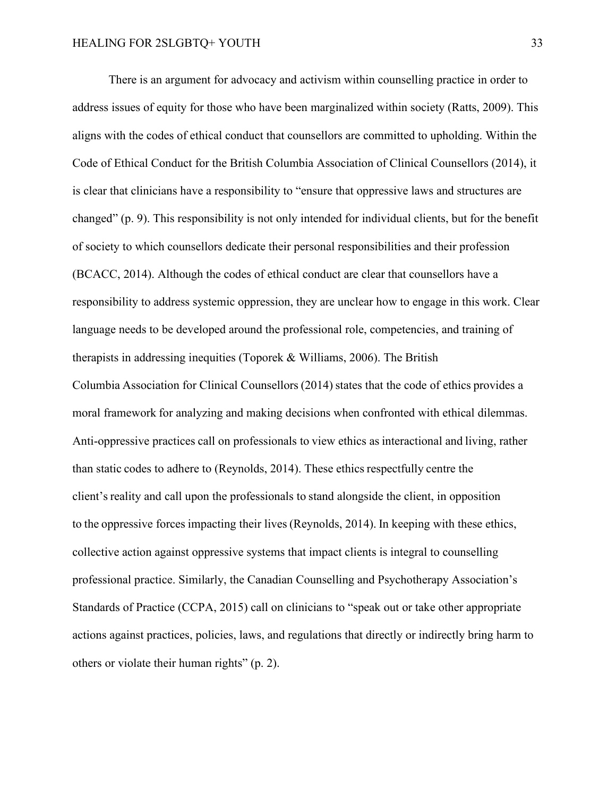There is an argument for advocacy and activism within counselling practice in order to address issues of equity for those who have been marginalized within society (Ratts, 2009). This aligns with the codes of ethical conduct that counsellors are committed to upholding. Within the Code of Ethical Conduct for the British Columbia Association of Clinical Counsellors (2014), it is clear that clinicians have a responsibility to "ensure that oppressive laws and structures are changed" (p. 9). This responsibility is not only intended for individual clients, but for the benefit of society to which counsellors dedicate their personal responsibilities and their profession (BCACC, 2014). Although the codes of ethical conduct are clear that counsellors have a responsibility to address systemic oppression, they are unclear how to engage in this work. Clear language needs to be developed around the professional role, competencies, and training of therapists in addressing inequities (Toporek & Williams, 2006). The British Columbia Association for Clinical Counsellors (2014) states that the code of ethics provides a moral framework for analyzing and making decisions when confronted with ethical dilemmas. Anti-oppressive practices call on professionals to view ethics as interactional and living, rather than static codes to adhere to (Reynolds, 2014). These ethics respectfully centre the client's reality and call upon the professionals to stand alongside the client, in opposition to the oppressive forces impacting their lives (Reynolds, 2014). In keeping with these ethics, collective action against oppressive systems that impact clients is integral to counselling professional practice. Similarly, the Canadian Counselling and Psychotherapy Association's Standards of Practice (CCPA, 2015) call on clinicians to "speak out or take other appropriate actions against practices, policies, laws, and regulations that directly or indirectly bring harm to others or violate their human rights" (p. 2).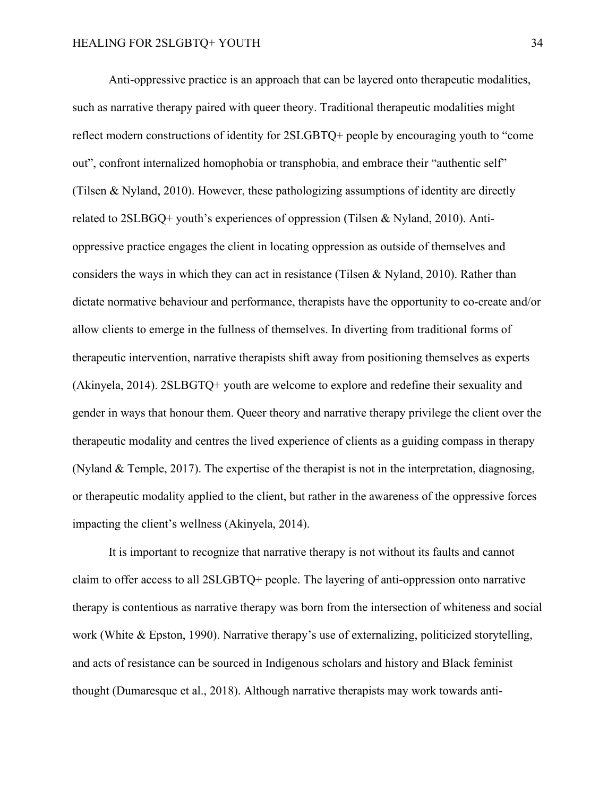Anti-oppressive practice is an approach that can be layered onto therapeutic modalities, such as narrative therapy paired with queer theory. Traditional therapeutic modalities might reflect modern constructions of identity for 2SLGBTQ+ people by encouraging youth to "come out", confront internalized homophobia or transphobia, and embrace their "authentic self" (Tilsen & Nyland, 2010). However, these pathologizing assumptions of identity are directly related to 2SLBGQ+ youth's experiences of oppression (Tilsen & Nyland, 2010). Antioppressive practice engages the client in locating oppression as outside of themselves and considers the ways in which they can act in resistance (Tilsen & Nyland, 2010). Rather than dictate normative behaviour and performance, therapists have the opportunity to co-create and/or allow clients to emerge in the fullness of themselves. In diverting from traditional forms of therapeutic intervention, narrative therapists shift away from positioning themselves as experts (Akinyela, 2014). 2SLBGTQ+ youth are welcome to explore and redefine their sexuality and gender in ways that honour them. Queer theory and narrative therapy privilege the client over the therapeutic modality and centres the lived experience of clients as a guiding compass in therapy (Nyland & Temple, 2017). The expertise of the therapist is not in the interpretation, diagnosing, or therapeutic modality applied to the client, but rather in the awareness of the oppressive forces impacting the client's wellness (Akinyela, 2014).

It is important to recognize that narrative therapy is not without its faults and cannot claim to offer access to all 2SLGBTQ+ people. The layering of anti-oppression onto narrative therapy is contentious as narrative therapy was born from the intersection of whiteness and social work (White & Epston, 1990). Narrative therapy's use of externalizing, politicized storytelling, and acts of resistance can be sourced in Indigenous scholars and history and Black feminist thought (Dumaresque et al., 2018). Although narrative therapists may work towards anti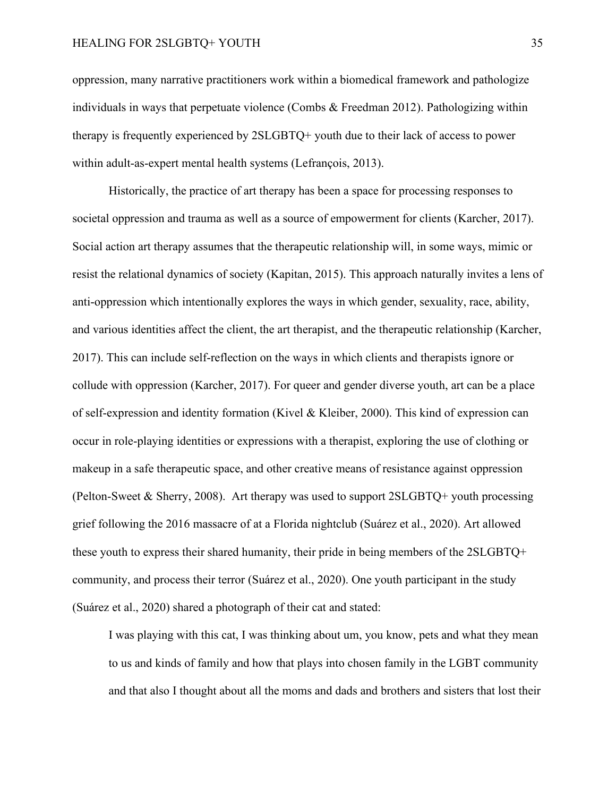oppression, many narrative practitioners work within a biomedical framework and pathologize individuals in ways that perpetuate violence (Combs & Freedman 2012). Pathologizing within therapy is frequently experienced by 2SLGBTQ+ youth due to their lack of access to power within adult-as-expert mental health systems (Lefrançois, 2013).

Historically, the practice of art therapy has been a space for processing responses to societal oppression and trauma as well as a source of empowerment for clients (Karcher, 2017). Social action art therapy assumes that the therapeutic relationship will, in some ways, mimic or resist the relational dynamics of society (Kapitan, 2015). This approach naturally invites a lens of anti-oppression which intentionally explores the ways in which gender, sexuality, race, ability, and various identities affect the client, the art therapist, and the therapeutic relationship (Karcher, 2017). This can include self-reflection on the ways in which clients and therapists ignore or collude with oppression (Karcher, 2017). For queer and gender diverse youth, art can be a place of self-expression and identity formation (Kivel & Kleiber, 2000). This kind of expression can occur in role-playing identities or expressions with a therapist, exploring the use of clothing or makeup in a safe therapeutic space, and other creative means of resistance against oppression (Pelton-Sweet & Sherry, 2008). Art therapy was used to support 2SLGBTQ+ youth processing grief following the 2016 massacre of at a Florida nightclub (Suárez et al., 2020). Art allowed these youth to express their shared humanity, their pride in being members of the 2SLGBTQ+ community, and process their terror (Suárez et al., 2020). One youth participant in the study (Suárez et al., 2020) shared a photograph of their cat and stated:

I was playing with this cat, I was thinking about um, you know, pets and what they mean to us and kinds of family and how that plays into chosen family in the LGBT community and that also I thought about all the moms and dads and brothers and sisters that lost their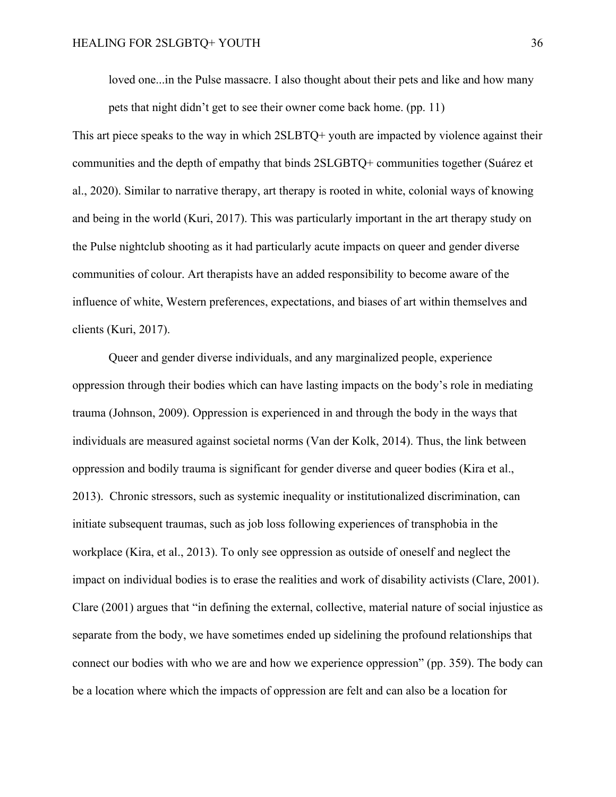loved one...in the Pulse massacre. I also thought about their pets and like and how many

pets that night didn't get to see their owner come back home. (pp. 11)

This art piece speaks to the way in which 2SLBTQ+ youth are impacted by violence against their communities and the depth of empathy that binds 2SLGBTQ+ communities together (Suárez et al., 2020). Similar to narrative therapy, art therapy is rooted in white, colonial ways of knowing and being in the world (Kuri, 2017). This was particularly important in the art therapy study on the Pulse nightclub shooting as it had particularly acute impacts on queer and gender diverse communities of colour. Art therapists have an added responsibility to become aware of the influence of white, Western preferences, expectations, and biases of art within themselves and clients (Kuri, 2017).

Queer and gender diverse individuals, and any marginalized people, experience oppression through their bodies which can have lasting impacts on the body's role in mediating trauma (Johnson, 2009). Oppression is experienced in and through the body in the ways that individuals are measured against societal norms (Van der Kolk, 2014). Thus, the link between oppression and bodily trauma is significant for gender diverse and queer bodies (Kira et al., 2013). Chronic stressors, such as systemic inequality or institutionalized discrimination, can initiate subsequent traumas, such as job loss following experiences of transphobia in the workplace (Kira, et al., 2013). To only see oppression as outside of oneself and neglect the impact on individual bodies is to erase the realities and work of disability activists (Clare, 2001). Clare (2001) argues that "in defining the external, collective, material nature of social injustice as separate from the body, we have sometimes ended up sidelining the profound relationships that connect our bodies with who we are and how we experience oppression" (pp. 359). The body can be a location where which the impacts of oppression are felt and can also be a location for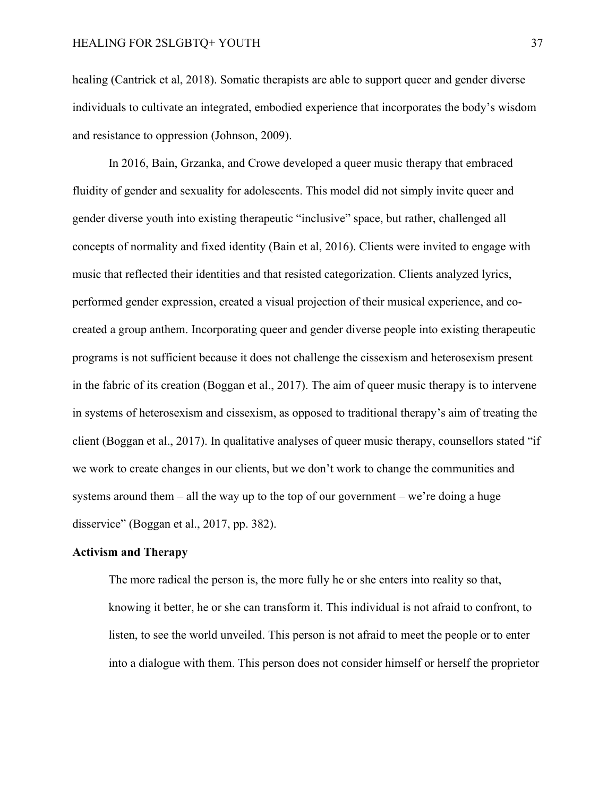healing (Cantrick et al, 2018). Somatic therapists are able to support queer and gender diverse individuals to cultivate an integrated, embodied experience that incorporates the body's wisdom and resistance to oppression (Johnson, 2009).

In 2016, Bain, Grzanka, and Crowe developed a queer music therapy that embraced fluidity of gender and sexuality for adolescents. This model did not simply invite queer and gender diverse youth into existing therapeutic "inclusive" space, but rather, challenged all concepts of normality and fixed identity (Bain et al, 2016). Clients were invited to engage with music that reflected their identities and that resisted categorization. Clients analyzed lyrics, performed gender expression, created a visual projection of their musical experience, and cocreated a group anthem. Incorporating queer and gender diverse people into existing therapeutic programs is not sufficient because it does not challenge the cissexism and heterosexism present in the fabric of its creation (Boggan et al., 2017). The aim of queer music therapy is to intervene in systems of heterosexism and cissexism, as opposed to traditional therapy's aim of treating the client (Boggan et al., 2017). In qualitative analyses of queer music therapy, counsellors stated "if we work to create changes in our clients, but we don't work to change the communities and systems around them – all the way up to the top of our government – we're doing a huge disservice" (Boggan et al., 2017, pp. 382).

#### <span id="page-36-0"></span>**Activism and Therapy**

The more radical the person is, the more fully he or she enters into reality so that, knowing it better, he or she can transform it. This individual is not afraid to confront, to listen, to see the world unveiled. This person is not afraid to meet the people or to enter into a dialogue with them. This person does not consider himself or herself the proprietor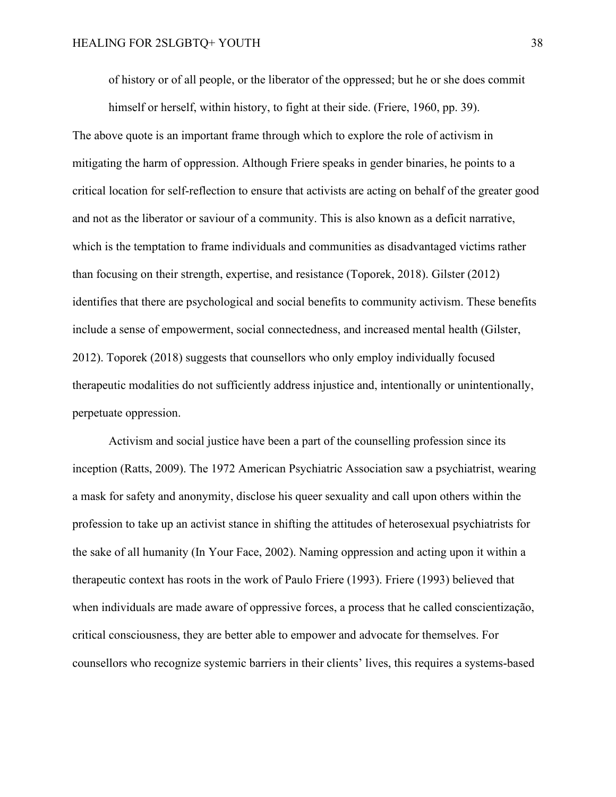of history or of all people, or the liberator of the oppressed; but he or she does commit

himself or herself, within history, to fight at their side. (Friere, 1960, pp. 39). The above quote is an important frame through which to explore the role of activism in mitigating the harm of oppression. Although Friere speaks in gender binaries, he points to a critical location for self-reflection to ensure that activists are acting on behalf of the greater good and not as the liberator or saviour of a community. This is also known as a deficit narrative, which is the temptation to frame individuals and communities as disadvantaged victims rather than focusing on their strength, expertise, and resistance (Toporek, 2018). Gilster (2012) identifies that there are psychological and social benefits to community activism. These benefits include a sense of empowerment, social connectedness, and increased mental health (Gilster, 2012). Toporek (2018) suggests that counsellors who only employ individually focused therapeutic modalities do not sufficiently address injustice and, intentionally or unintentionally, perpetuate oppression.

Activism and social justice have been a part of the counselling profession since its inception (Ratts, 2009). The 1972 American Psychiatric Association saw a psychiatrist, wearing a mask for safety and anonymity, disclose his queer sexuality and call upon others within the profession to take up an activist stance in shifting the attitudes of heterosexual psychiatrists for the sake of all humanity (In Your Face, 2002). Naming oppression and acting upon it within a therapeutic context has roots in the work of Paulo Friere (1993). Friere (1993) believed that when individuals are made aware of oppressive forces, a process that he called conscientização, critical consciousness, they are better able to empower and advocate for themselves. For counsellors who recognize systemic barriers in their clients' lives, this requires a systems-based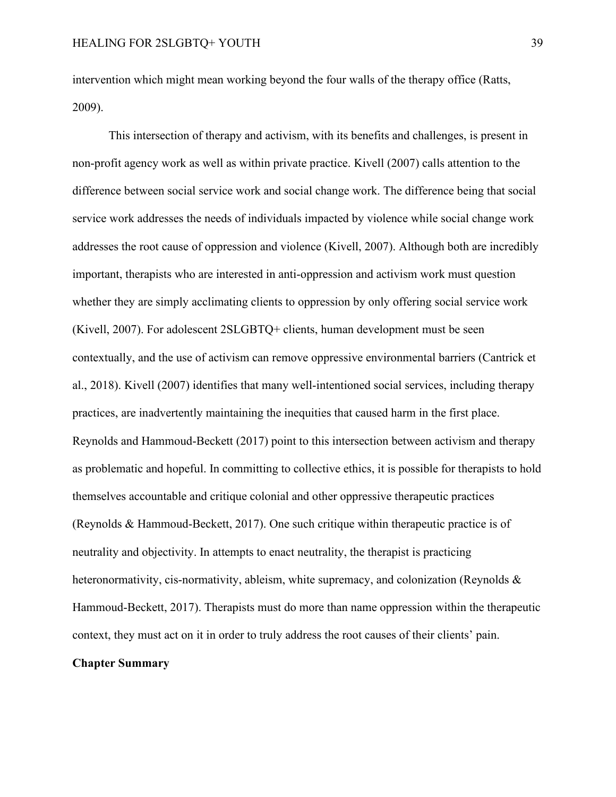intervention which might mean working beyond the four walls of the therapy office (Ratts, 2009).

This intersection of therapy and activism, with its benefits and challenges, is present in non-profit agency work as well as within private practice. Kivell (2007) calls attention to the difference between social service work and social change work. The difference being that social service work addresses the needs of individuals impacted by violence while social change work addresses the root cause of oppression and violence (Kivell, 2007). Although both are incredibly important, therapists who are interested in anti-oppression and activism work must question whether they are simply acclimating clients to oppression by only offering social service work (Kivell, 2007). For adolescent 2SLGBTQ+ clients, human development must be seen contextually, and the use of activism can remove oppressive environmental barriers (Cantrick et al., 2018). Kivell (2007) identifies that many well-intentioned social services, including therapy practices, are inadvertently maintaining the inequities that caused harm in the first place. Reynolds and Hammoud-Beckett (2017) point to this intersection between activism and therapy as problematic and hopeful. In committing to collective ethics, it is possible for therapists to hold themselves accountable and critique colonial and other oppressive therapeutic practices (Reynolds & Hammoud-Beckett, 2017). One such critique within therapeutic practice is of neutrality and objectivity. In attempts to enact neutrality, the therapist is practicing heteronormativity, cis-normativity, ableism, white supremacy, and colonization (Reynolds & Hammoud-Beckett, 2017). Therapists must do more than name oppression within the therapeutic context, they must act on it in order to truly address the root causes of their clients' pain.

# <span id="page-38-0"></span>**Chapter Summary**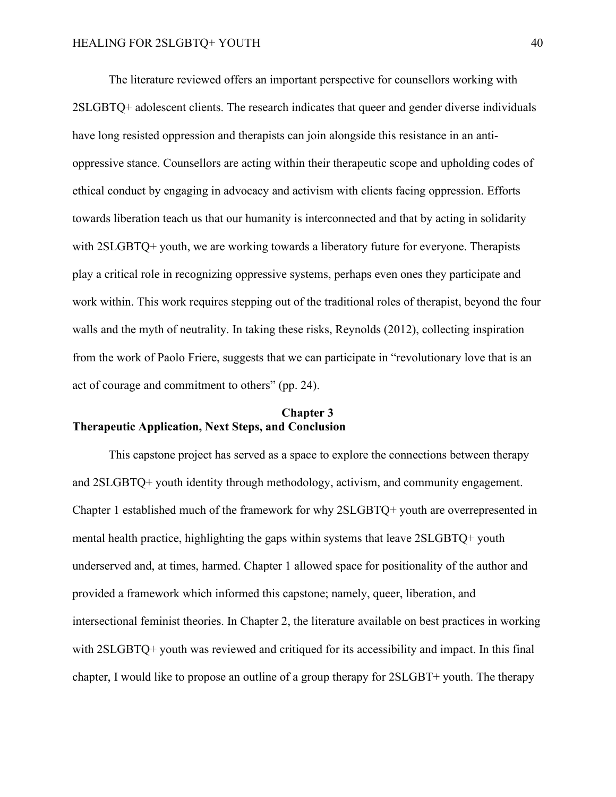The literature reviewed offers an important perspective for counsellors working with 2SLGBTQ+ adolescent clients. The research indicates that queer and gender diverse individuals have long resisted oppression and therapists can join alongside this resistance in an antioppressive stance. Counsellors are acting within their therapeutic scope and upholding codes of ethical conduct by engaging in advocacy and activism with clients facing oppression. Efforts towards liberation teach us that our humanity is interconnected and that by acting in solidarity with 2SLGBTQ+ youth, we are working towards a liberatory future for everyone. Therapists play a critical role in recognizing oppressive systems, perhaps even ones they participate and work within. This work requires stepping out of the traditional roles of therapist, beyond the four walls and the myth of neutrality. In taking these risks, Reynolds (2012), collecting inspiration from the work of Paolo Friere, suggests that we can participate in "revolutionary love that is an act of courage and commitment to others" (pp. 24).

# <span id="page-39-1"></span><span id="page-39-0"></span>**Chapter 3 Therapeutic Application, Next Steps, and Conclusion**

This capstone project has served as a space to explore the connections between therapy and 2SLGBTQ+ youth identity through methodology, activism, and community engagement. Chapter 1 established much of the framework for why 2SLGBTQ+ youth are overrepresented in mental health practice, highlighting the gaps within systems that leave 2SLGBTQ+ youth underserved and, at times, harmed. Chapter 1 allowed space for positionality of the author and provided a framework which informed this capstone; namely, queer, liberation, and intersectional feminist theories. In Chapter 2, the literature available on best practices in working with 2SLGBTQ+ youth was reviewed and critiqued for its accessibility and impact. In this final chapter, I would like to propose an outline of a group therapy for 2SLGBT+ youth. The therapy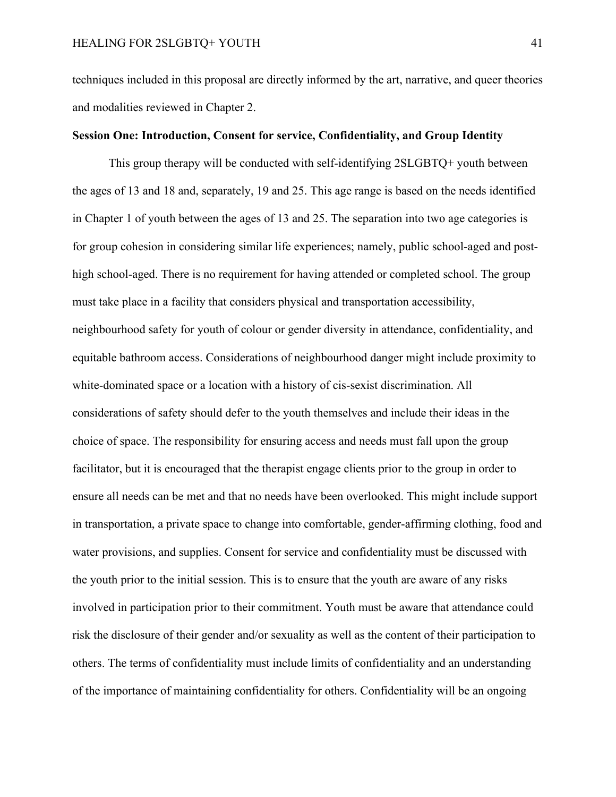techniques included in this proposal are directly informed by the art, narrative, and queer theories and modalities reviewed in Chapter 2.

## <span id="page-40-0"></span>**Session One: Introduction, Consent for service, Confidentiality, and Group Identity**

This group therapy will be conducted with self-identifying 2SLGBTQ+ youth between the ages of 13 and 18 and, separately, 19 and 25. This age range is based on the needs identified in Chapter 1 of youth between the ages of 13 and 25. The separation into two age categories is for group cohesion in considering similar life experiences; namely, public school-aged and posthigh school-aged. There is no requirement for having attended or completed school. The group must take place in a facility that considers physical and transportation accessibility, neighbourhood safety for youth of colour or gender diversity in attendance, confidentiality, and equitable bathroom access. Considerations of neighbourhood danger might include proximity to white-dominated space or a location with a history of cis-sexist discrimination. All considerations of safety should defer to the youth themselves and include their ideas in the choice of space. The responsibility for ensuring access and needs must fall upon the group facilitator, but it is encouraged that the therapist engage clients prior to the group in order to ensure all needs can be met and that no needs have been overlooked. This might include support in transportation, a private space to change into comfortable, gender-affirming clothing, food and water provisions, and supplies. Consent for service and confidentiality must be discussed with the youth prior to the initial session. This is to ensure that the youth are aware of any risks involved in participation prior to their commitment. Youth must be aware that attendance could risk the disclosure of their gender and/or sexuality as well as the content of their participation to others. The terms of confidentiality must include limits of confidentiality and an understanding of the importance of maintaining confidentiality for others. Confidentiality will be an ongoing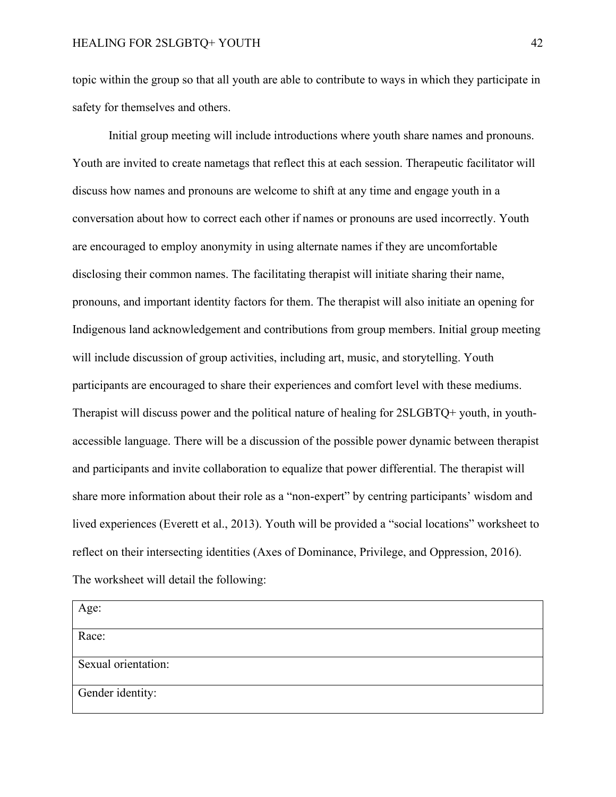topic within the group so that all youth are able to contribute to ways in which they participate in safety for themselves and others.

Initial group meeting will include introductions where youth share names and pronouns. Youth are invited to create nametags that reflect this at each session. Therapeutic facilitator will discuss how names and pronouns are welcome to shift at any time and engage youth in a conversation about how to correct each other if names or pronouns are used incorrectly. Youth are encouraged to employ anonymity in using alternate names if they are uncomfortable disclosing their common names. The facilitating therapist will initiate sharing their name, pronouns, and important identity factors for them. The therapist will also initiate an opening for Indigenous land acknowledgement and contributions from group members. Initial group meeting will include discussion of group activities, including art, music, and storytelling. Youth participants are encouraged to share their experiences and comfort level with these mediums. Therapist will discuss power and the political nature of healing for 2SLGBTQ+ youth, in youthaccessible language. There will be a discussion of the possible power dynamic between therapist and participants and invite collaboration to equalize that power differential. The therapist will share more information about their role as a "non-expert" by centring participants' wisdom and lived experiences (Everett et al., 2013). Youth will be provided a "social locations" worksheet to reflect on their intersecting identities (Axes of Dominance, Privilege, and Oppression, 2016). The worksheet will detail the following:

| Age:                |  |
|---------------------|--|
| Race:               |  |
| Sexual orientation: |  |
| Gender identity:    |  |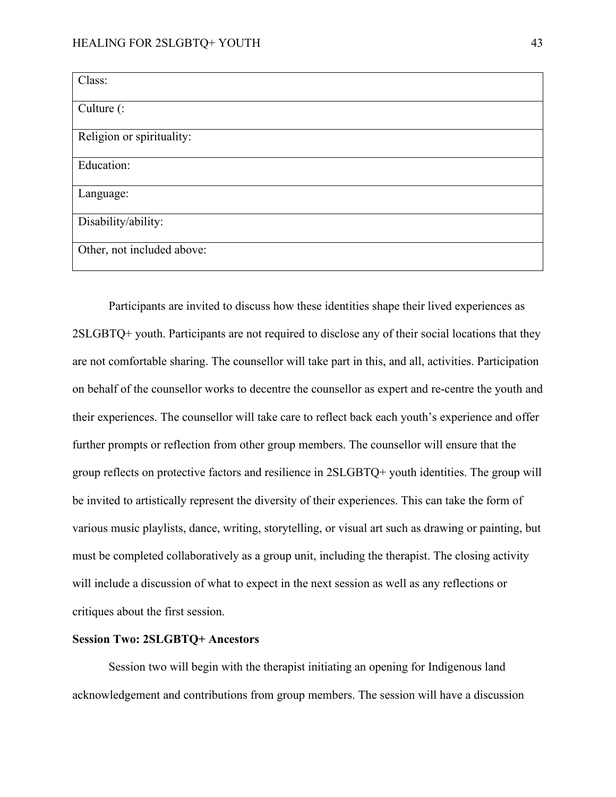| Class:                     |  |
|----------------------------|--|
| Culture (:                 |  |
| Religion or spirituality:  |  |
| Education:                 |  |
| Language:                  |  |
| Disability/ability:        |  |
| Other, not included above: |  |

Participants are invited to discuss how these identities shape their lived experiences as 2SLGBTQ+ youth. Participants are not required to disclose any of their social locations that they are not comfortable sharing. The counsellor will take part in this, and all, activities. Participation on behalf of the counsellor works to decentre the counsellor as expert and re-centre the youth and their experiences. The counsellor will take care to reflect back each youth's experience and offer further prompts or reflection from other group members. The counsellor will ensure that the group reflects on protective factors and resilience in 2SLGBTQ+ youth identities. The group will be invited to artistically represent the diversity of their experiences. This can take the form of various music playlists, dance, writing, storytelling, or visual art such as drawing or painting, but must be completed collaboratively as a group unit, including the therapist. The closing activity will include a discussion of what to expect in the next session as well as any reflections or critiques about the first session.

# <span id="page-42-0"></span>**Session Two: 2SLGBTQ+ Ancestors**

Session two will begin with the therapist initiating an opening for Indigenous land acknowledgement and contributions from group members. The session will have a discussion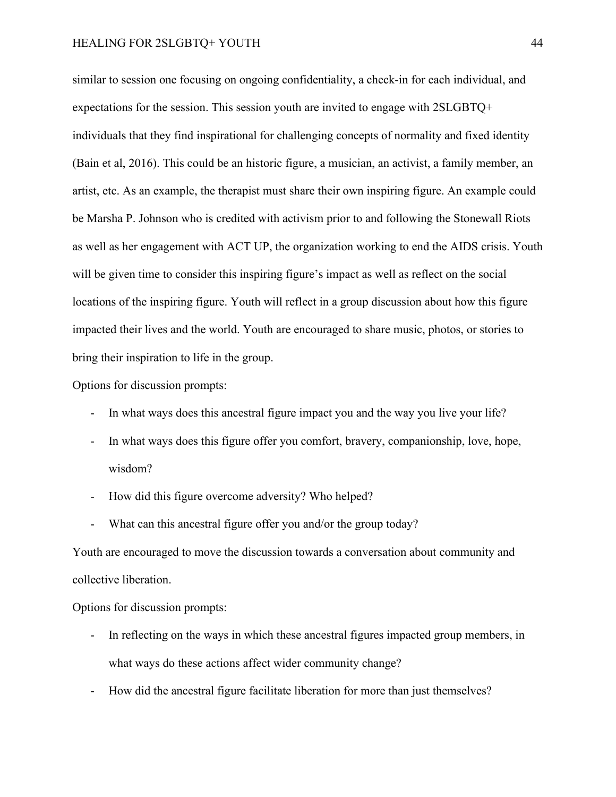similar to session one focusing on ongoing confidentiality, a check-in for each individual, and expectations for the session. This session youth are invited to engage with 2SLGBTQ+ individuals that they find inspirational for challenging concepts of normality and fixed identity (Bain et al, 2016). This could be an historic figure, a musician, an activist, a family member, an artist, etc. As an example, the therapist must share their own inspiring figure. An example could be Marsha P. Johnson who is credited with activism prior to and following the Stonewall Riots as well as her engagement with ACT UP, the organization working to end the AIDS crisis. Youth will be given time to consider this inspiring figure's impact as well as reflect on the social locations of the inspiring figure. Youth will reflect in a group discussion about how this figure impacted their lives and the world. Youth are encouraged to share music, photos, or stories to bring their inspiration to life in the group.

Options for discussion prompts:

- In what ways does this ancestral figure impact you and the way you live your life?
- In what ways does this figure offer you comfort, bravery, companionship, love, hope, wisdom?
- How did this figure overcome adversity? Who helped?
- What can this ancestral figure offer you and/or the group today?

Youth are encouraged to move the discussion towards a conversation about community and collective liberation.

Options for discussion prompts:

- In reflecting on the ways in which these ancestral figures impacted group members, in what ways do these actions affect wider community change?
- How did the ancestral figure facilitate liberation for more than just themselves?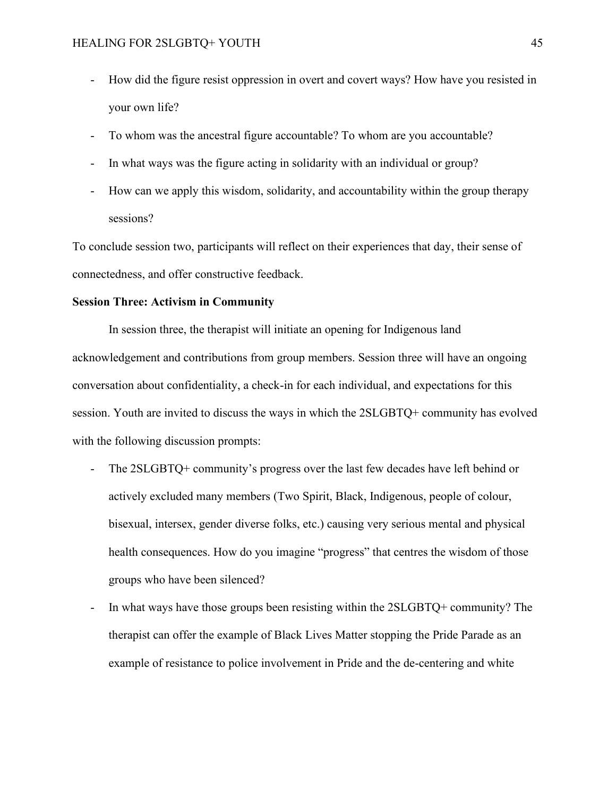- How did the figure resist oppression in overt and covert ways? How have you resisted in your own life?
- To whom was the ancestral figure accountable? To whom are you accountable?
- In what ways was the figure acting in solidarity with an individual or group?
- How can we apply this wisdom, solidarity, and accountability within the group therapy sessions?

To conclude session two, participants will reflect on their experiences that day, their sense of connectedness, and offer constructive feedback.

#### <span id="page-44-0"></span>**Session Three: Activism in Community**

In session three, the therapist will initiate an opening for Indigenous land acknowledgement and contributions from group members. Session three will have an ongoing conversation about confidentiality, a check-in for each individual, and expectations for this session. Youth are invited to discuss the ways in which the 2SLGBTQ+ community has evolved with the following discussion prompts:

- The 2SLGBTQ+ community's progress over the last few decades have left behind or actively excluded many members (Two Spirit, Black, Indigenous, people of colour, bisexual, intersex, gender diverse folks, etc.) causing very serious mental and physical health consequences. How do you imagine "progress" that centres the wisdom of those groups who have been silenced?
- In what ways have those groups been resisting within the 2SLGBTQ+ community? The therapist can offer the example of Black Lives Matter stopping the Pride Parade as an example of resistance to police involvement in Pride and the de-centering and white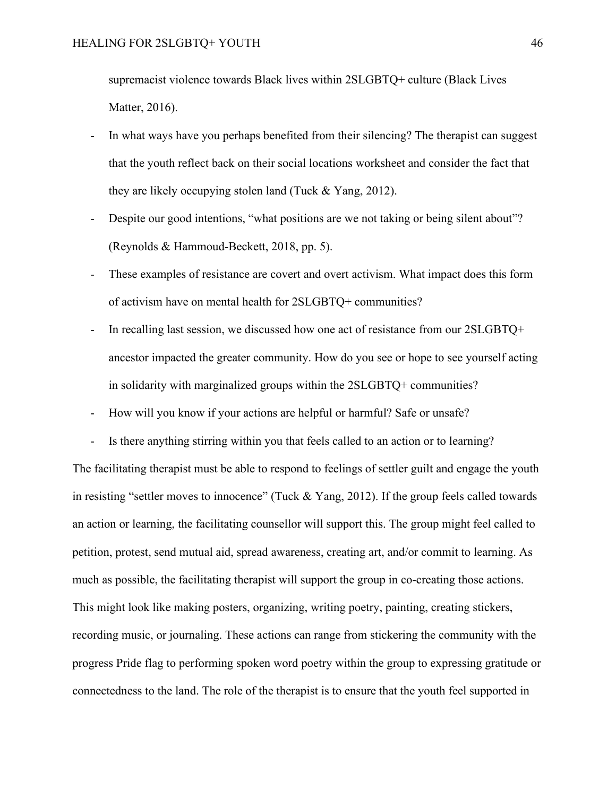supremacist violence towards Black lives within 2SLGBTQ+ culture (Black Lives Matter, 2016).

- In what ways have you perhaps benefited from their silencing? The therapist can suggest that the youth reflect back on their social locations worksheet and consider the fact that they are likely occupying stolen land (Tuck & Yang, 2012).
- Despite our good intentions, "what positions are we not taking or being silent about"? (Reynolds & Hammoud-Beckett, 2018, pp. 5).
- These examples of resistance are covert and overt activism. What impact does this form of activism have on mental health for 2SLGBTQ+ communities?
- In recalling last session, we discussed how one act of resistance from our 2SLGBTQ+ ancestor impacted the greater community. How do you see or hope to see yourself acting in solidarity with marginalized groups within the 2SLGBTQ+ communities?
- How will you know if your actions are helpful or harmful? Safe or unsafe?
- Is there anything stirring within you that feels called to an action or to learning?

The facilitating therapist must be able to respond to feelings of settler guilt and engage the youth in resisting "settler moves to innocence" (Tuck & Yang, 2012). If the group feels called towards an action or learning, the facilitating counsellor will support this. The group might feel called to petition, protest, send mutual aid, spread awareness, creating art, and/or commit to learning. As much as possible, the facilitating therapist will support the group in co-creating those actions. This might look like making posters, organizing, writing poetry, painting, creating stickers, recording music, or journaling. These actions can range from stickering the community with the progress Pride flag to performing spoken word poetry within the group to expressing gratitude or connectedness to the land. The role of the therapist is to ensure that the youth feel supported in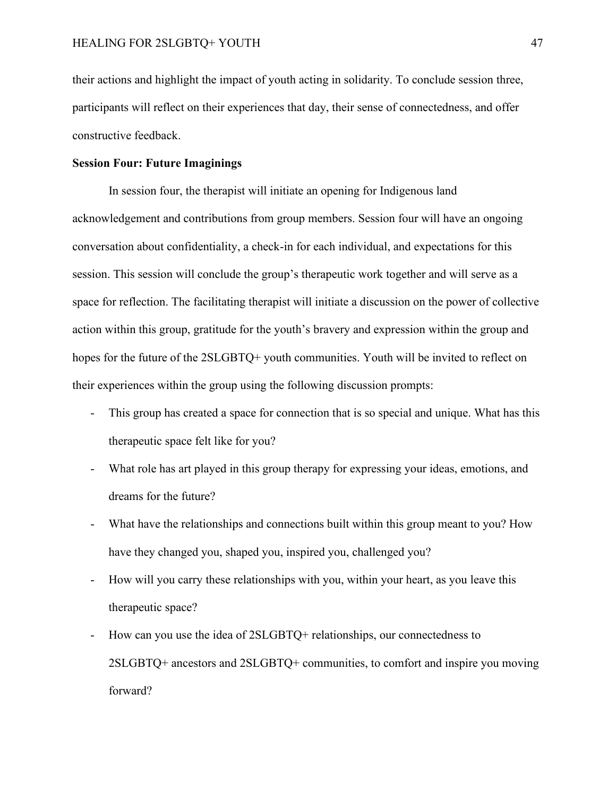their actions and highlight the impact of youth acting in solidarity. To conclude session three, participants will reflect on their experiences that day, their sense of connectedness, and offer constructive feedback.

## <span id="page-46-0"></span>**Session Four: Future Imaginings**

In session four, the therapist will initiate an opening for Indigenous land acknowledgement and contributions from group members. Session four will have an ongoing conversation about confidentiality, a check-in for each individual, and expectations for this session. This session will conclude the group's therapeutic work together and will serve as a space for reflection. The facilitating therapist will initiate a discussion on the power of collective action within this group, gratitude for the youth's bravery and expression within the group and hopes for the future of the 2SLGBTQ+ youth communities. Youth will be invited to reflect on their experiences within the group using the following discussion prompts:

- This group has created a space for connection that is so special and unique. What has this therapeutic space felt like for you?
- What role has art played in this group therapy for expressing your ideas, emotions, and dreams for the future?
- What have the relationships and connections built within this group meant to you? How have they changed you, shaped you, inspired you, challenged you?
- How will you carry these relationships with you, within your heart, as you leave this therapeutic space?
- How can you use the idea of 2SLGBTQ+ relationships, our connectedness to 2SLGBTQ+ ancestors and 2SLGBTQ+ communities, to comfort and inspire you moving forward?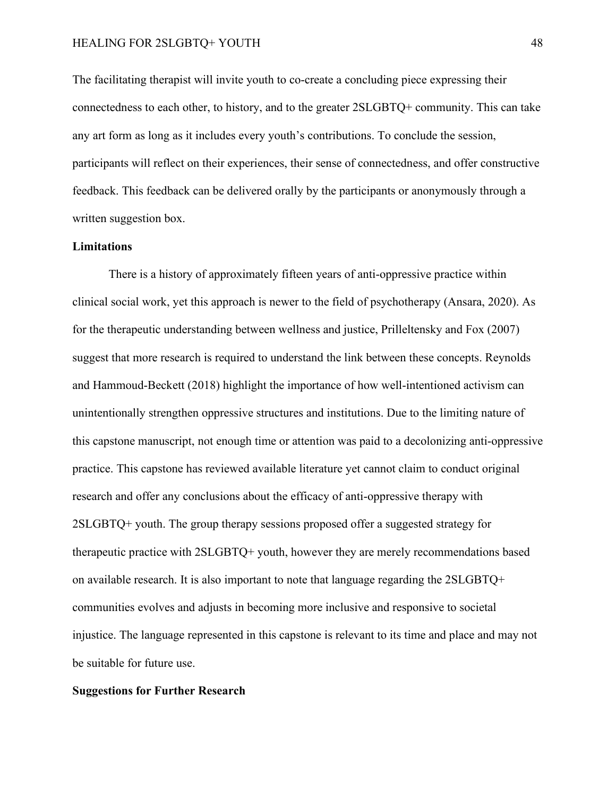The facilitating therapist will invite youth to co-create a concluding piece expressing their connectedness to each other, to history, and to the greater 2SLGBTQ+ community. This can take any art form as long as it includes every youth's contributions. To conclude the session, participants will reflect on their experiences, their sense of connectedness, and offer constructive feedback. This feedback can be delivered orally by the participants or anonymously through a written suggestion box.

# <span id="page-47-0"></span>**Limitations**

There is a history of approximately fifteen years of anti-oppressive practice within clinical social work, yet this approach is newer to the field of psychotherapy (Ansara, 2020). As for the therapeutic understanding between wellness and justice, Prilleltensky and Fox (2007) suggest that more research is required to understand the link between these concepts. Reynolds and Hammoud-Beckett (2018) highlight the importance of how well-intentioned activism can unintentionally strengthen oppressive structures and institutions. Due to the limiting nature of this capstone manuscript, not enough time or attention was paid to a decolonizing anti-oppressive practice. This capstone has reviewed available literature yet cannot claim to conduct original research and offer any conclusions about the efficacy of anti-oppressive therapy with 2SLGBTQ+ youth. The group therapy sessions proposed offer a suggested strategy for therapeutic practice with 2SLGBTQ+ youth, however they are merely recommendations based on available research. It is also important to note that language regarding the 2SLGBTQ+ communities evolves and adjusts in becoming more inclusive and responsive to societal injustice. The language represented in this capstone is relevant to its time and place and may not be suitable for future use.

#### <span id="page-47-1"></span>**Suggestions for Further Research**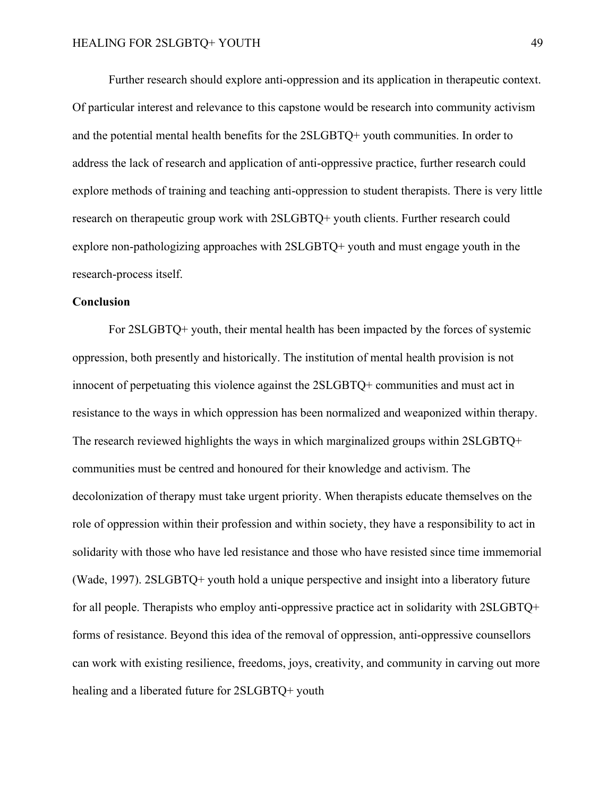Further research should explore anti-oppression and its application in therapeutic context. Of particular interest and relevance to this capstone would be research into community activism and the potential mental health benefits for the 2SLGBTQ+ youth communities. In order to address the lack of research and application of anti-oppressive practice, further research could explore methods of training and teaching anti-oppression to student therapists. There is very little research on therapeutic group work with 2SLGBTQ+ youth clients. Further research could explore non-pathologizing approaches with 2SLGBTQ+ youth and must engage youth in the research-process itself.

#### <span id="page-48-0"></span>**Conclusion**

For 2SLGBTQ+ youth, their mental health has been impacted by the forces of systemic oppression, both presently and historically. The institution of mental health provision is not innocent of perpetuating this violence against the 2SLGBTQ+ communities and must act in resistance to the ways in which oppression has been normalized and weaponized within therapy. The research reviewed highlights the ways in which marginalized groups within 2SLGBTQ+ communities must be centred and honoured for their knowledge and activism. The decolonization of therapy must take urgent priority. When therapists educate themselves on the role of oppression within their profession and within society, they have a responsibility to act in solidarity with those who have led resistance and those who have resisted since time immemorial (Wade, 1997). 2SLGBTQ+ youth hold a unique perspective and insight into a liberatory future for all people. Therapists who employ anti-oppressive practice act in solidarity with 2SLGBTQ+ forms of resistance. Beyond this idea of the removal of oppression, anti-oppressive counsellors can work with existing resilience, freedoms, joys, creativity, and community in carving out more healing and a liberated future for 2SLGBTQ+ youth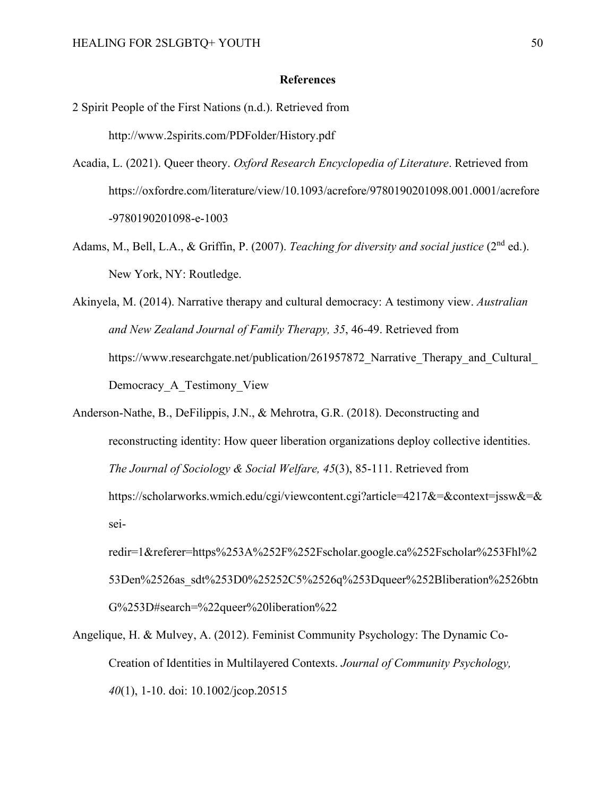#### **References**

- <span id="page-49-0"></span>2 Spirit People of the First Nations (n.d.). Retrieved from http://www.2spirits.com/PDFolder/History.pdf
- Acadia, L. (2021). Queer theory. *Oxford Research Encyclopedia of Literature*. Retrieved from https://oxfordre.com/literature/view/10.1093/acrefore/9780190201098.001.0001/acrefore -9780190201098-e-1003
- Adams, M., Bell, L.A., & Griffin, P. (2007). *Teaching for diversity and social justice* (2nd ed.). New York, NY: Routledge.

Akinyela, M. (2014). Narrative therapy and cultural democracy: A testimony view. *Australian and New Zealand Journal of Family Therapy, 35*, 46-49. Retrieved from https://www.researchgate.net/publication/261957872 Narrative Therapy and Cultural Democracy\_A\_Testimony\_View

Anderson-Nathe, B., DeFilippis, J.N., & Mehrotra, G.R. (2018). Deconstructing and reconstructing identity: How queer liberation organizations deploy collective identities. *The Journal of Sociology & Social Welfare, 45*(3), 85-111. Retrieved from https://scholarworks.wmich.edu/cgi/viewcontent.cgi?article=4217&=&context=jssw&=& sei-

redir=1&referer=https%253A%252F%252Fscholar.google.ca%252Fscholar%253Fhl%2 53Den%2526as\_sdt%253D0%25252C5%2526q%253Dqueer%252Bliberation%2526btn G%253D#search=%22queer%20liberation%22

Angelique, H. & Mulvey, A. (2012). Feminist Community Psychology: The Dynamic Co-Creation of Identities in Multilayered Contexts. *Journal of Community Psychology, 40*(1), 1-10. doi: 10.1002/jcop.20515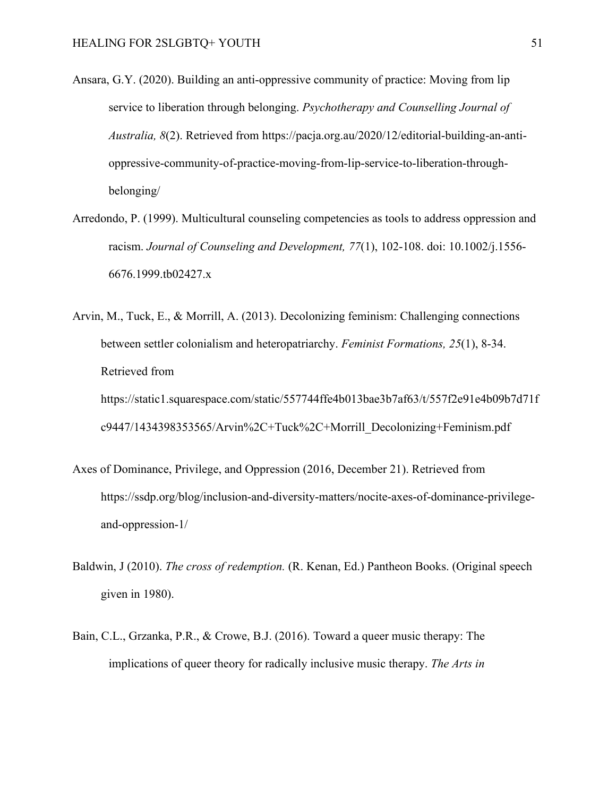- Ansara, G.Y. (2020). Building an anti-oppressive community of practice: Moving from lip service to liberation through belonging. *Psychotherapy and Counselling Journal of Australia, 8*(2). Retrieved from https://pacja.org.au/2020/12/editorial-building-an-antioppressive-community-of-practice-moving-from-lip-service-to-liberation-throughbelonging/
- Arredondo, P. (1999). Multicultural counseling competencies as tools to address oppression and racism. *Journal of Counseling and Development, 77*(1), 102-108. doi: 10.1002/j.1556- 6676.1999.tb02427.x
- Arvin, M., Tuck, E., & Morrill, A. (2013). Decolonizing feminism: Challenging connections between settler colonialism and heteropatriarchy. *Feminist Formations, 25*(1), 8-34. Retrieved from

https://static1.squarespace.com/static/557744ffe4b013bae3b7af63/t/557f2e91e4b09b7d71f c9447/1434398353565/Arvin%2C+Tuck%2C+Morrill\_Decolonizing+Feminism.pdf

- Axes of Dominance, Privilege, and Oppression (2016, December 21). Retrieved from https://ssdp.org/blog/inclusion-and-diversity-matters/nocite-axes-of-dominance-privilegeand-oppression-1/
- Baldwin, J (2010). *The cross of redemption.* (R. Kenan, Ed.) Pantheon Books. (Original speech given in 1980).
- Bain, C.L., Grzanka, P.R., & Crowe, B.J. (2016). Toward a queer music therapy: The implications of queer theory for radically inclusive music therapy. *The Arts in*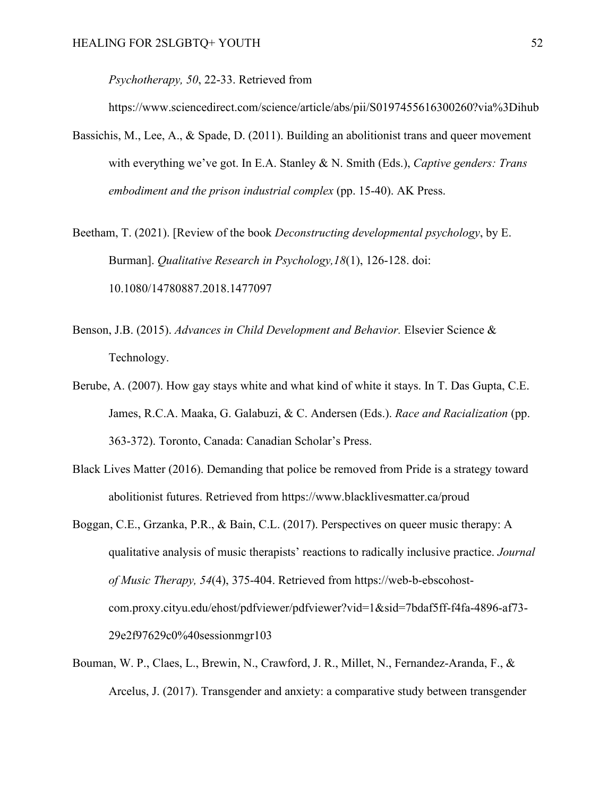*Psychotherapy, 50*, 22-33. Retrieved from

https://www.sciencedirect.com/science/article/abs/pii/S0197455616300260?via%3Dihub

- Bassichis, M., Lee, A., & Spade, D. (2011). Building an abolitionist trans and queer movement with everything we've got. In E.A. Stanley & N. Smith (Eds.), *Captive genders: Trans embodiment and the prison industrial complex* (pp. 15-40). AK Press.
- Beetham, T. (2021). [Review of the book *Deconstructing developmental psychology*, by E. Burman]. *Qualitative Research in Psychology,18*(1), 126-128. doi: 10.1080/14780887.2018.1477097
- Benson, J.B. (2015). *Advances in Child Development and Behavior.* Elsevier Science & Technology.
- Berube, A. (2007). How gay stays white and what kind of white it stays. In T. Das Gupta, C.E. James, R.C.A. Maaka, G. Galabuzi, & C. Andersen (Eds.). *Race and Racialization* (pp. 363-372). Toronto, Canada: Canadian Scholar's Press.
- Black Lives Matter (2016). Demanding that police be removed from Pride is a strategy toward abolitionist futures. Retrieved from https://www.blacklivesmatter.ca/proud
- Boggan, C.E., Grzanka, P.R., & Bain, C.L. (2017). Perspectives on queer music therapy: A qualitative analysis of music therapists' reactions to radically inclusive practice. *Journal of Music Therapy, 54*(4), 375-404. Retrieved from https://web-b-ebscohostcom.proxy.cityu.edu/ehost/pdfviewer/pdfviewer?vid=1&sid=7bdaf5ff-f4fa-4896-af73- 29e2f97629c0%40sessionmgr103
- Bouman, W. P., Claes, L., Brewin, N., Crawford, J. R., Millet, N., Fernandez-Aranda, F., & Arcelus, J. (2017). Transgender and anxiety: a comparative study between transgender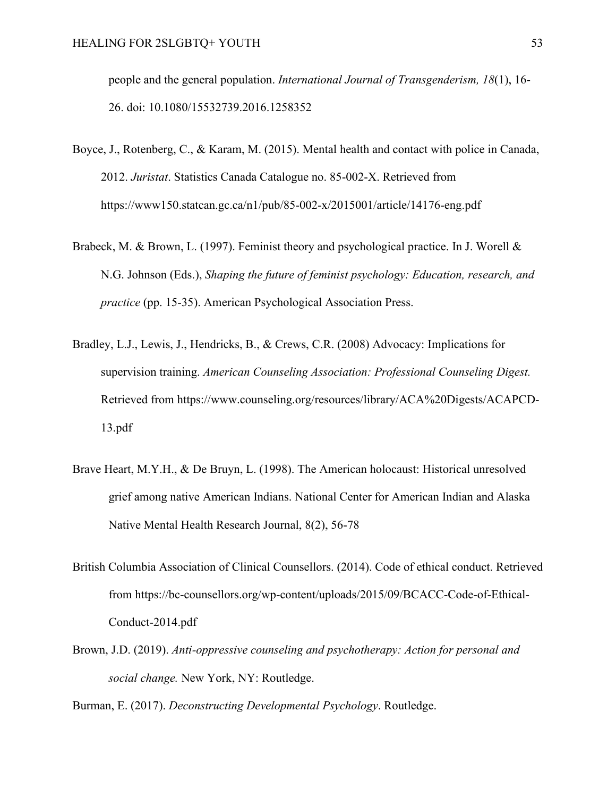people and the general population. *International Journal of Transgenderism, 18*(1), 16- 26. doi: 10.1080/15532739.2016.1258352

- Boyce, J., Rotenberg, C., & Karam, M. (2015). Mental health and contact with police in Canada, 2012. *Juristat*. Statistics Canada Catalogue no. 85-002-X. Retrieved from https://www150.statcan.gc.ca/n1/pub/85-002-x/2015001/article/14176-eng.pdf
- Brabeck, M. & Brown, L. (1997). Feminist theory and psychological practice. In J. Worell & N.G. Johnson (Eds.), *Shaping the future of feminist psychology: Education, research, and practice* (pp. 15-35). American Psychological Association Press.
- Bradley, L.J., Lewis, J., Hendricks, B., & Crews, C.R. (2008) Advocacy: Implications for supervision training. *American Counseling Association: Professional Counseling Digest.* Retrieved from https://www.counseling.org/resources/library/ACA%20Digests/ACAPCD-13.pdf
- Brave Heart, M.Y.H., & De Bruyn, L. (1998). The American holocaust: Historical unresolved grief among native American Indians. National Center for American Indian and Alaska Native Mental Health Research Journal, 8(2), 56-78
- British Columbia Association of Clinical Counsellors. (2014). Code of ethical conduct. Retrieved from https://bc-counsellors.org/wp-content/uploads/2015/09/BCACC-Code-of-Ethical-Conduct-2014.pdf
- Brown, J.D. (2019). *Anti-oppressive counseling and psychotherapy: Action for personal and social change.* New York, NY: Routledge.

Burman, E. (2017). *Deconstructing Developmental Psychology*. Routledge.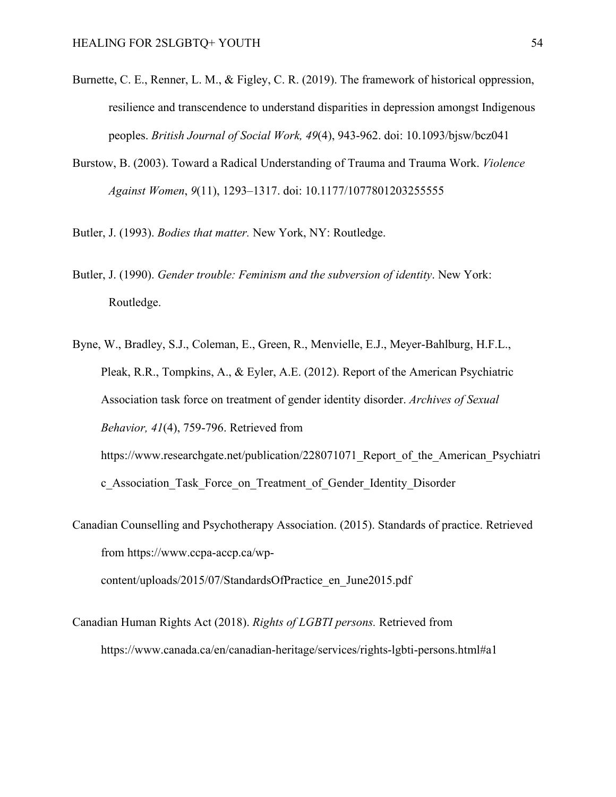- Burnette, C. E., Renner, L. M., & Figley, C. R. (2019). The framework of historical oppression, resilience and transcendence to understand disparities in depression amongst Indigenous peoples. *British Journal of Social Work, 49*(4), 943-962. doi: 10.1093/bjsw/bcz041
- Burstow, B. (2003). Toward a Radical Understanding of Trauma and Trauma Work. *Violence Against Women*, *9*(11), 1293–1317. doi: 10.1177/1077801203255555
- Butler, J. (1993). *Bodies that matter.* New York, NY: Routledge.
- Butler, J. (1990). *Gender trouble: Feminism and the subversion of identity*. New York: Routledge.
- Byne, W., Bradley, S.J., Coleman, E., Green, R., Menvielle, E.J., Meyer-Bahlburg, H.F.L., Pleak, R.R., Tompkins, A., & Eyler, A.E. (2012). Report of the American Psychiatric Association task force on treatment of gender identity disorder. *Archives of Sexual Behavior, 41*(4), 759-796. Retrieved from https://www.researchgate.net/publication/228071071 Report of the American Psychiatri

c\_Association\_Task\_Force\_on\_Treatment\_of\_Gender\_Identity\_Disorder

Canadian Counselling and Psychotherapy Association. (2015). Standards of practice. Retrieved from https://www.ccpa-accp.ca/wpcontent/uploads/2015/07/StandardsOfPractice\_en\_June2015.pdf

Canadian Human Rights Act (2018). *Rights of LGBTI persons.* Retrieved from https://www.canada.ca/en/canadian-heritage/services/rights-lgbti-persons.html#a1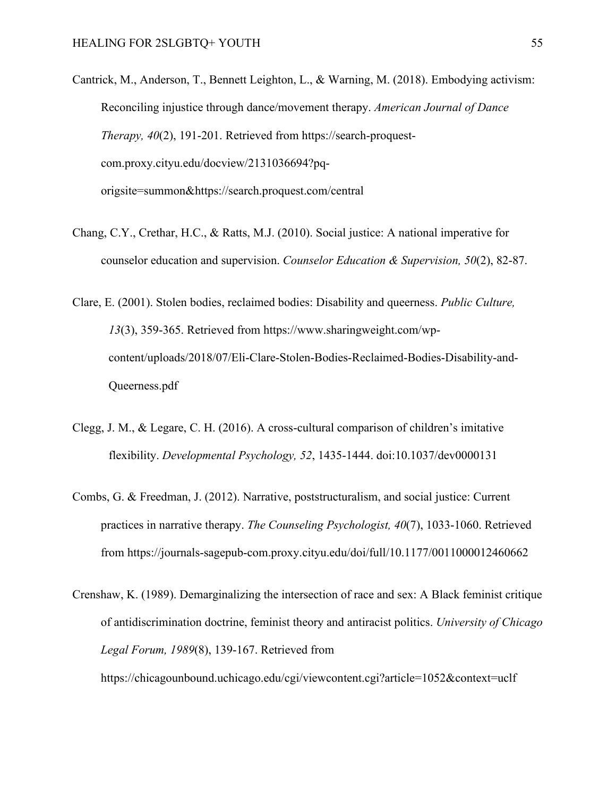Cantrick, M., Anderson, T., Bennett Leighton, L., & Warning, M. (2018). Embodying activism: Reconciling injustice through dance/movement therapy. *American Journal of Dance Therapy, 40*(2), 191-201. Retrieved from https://search-proquestcom.proxy.cityu.edu/docview/2131036694?pqorigsite=summon&https://search.proquest.com/central

- Chang, C.Y., Crethar, H.C., & Ratts, M.J. (2010). Social justice: A national imperative for counselor education and supervision. *Counselor Education & Supervision, 50*(2), 82-87.
- Clare, E. (2001). Stolen bodies, reclaimed bodies: Disability and queerness. *Public Culture, 13*(3), 359-365. Retrieved from https://www.sharingweight.com/wpcontent/uploads/2018/07/Eli-Clare-Stolen-Bodies-Reclaimed-Bodies-Disability-and-Queerness.pdf
- Clegg, J. M., & Legare, C. H. (2016). A cross-cultural comparison of children's imitative flexibility. *Developmental Psychology, 52*, 1435-1444. doi:10.1037/dev0000131
- Combs, G. & Freedman, J. (2012). Narrative, poststructuralism, and social justice: Current practices in narrative therapy. *The Counseling Psychologist, 40*(7), 1033-1060. Retrieved from https://journals-sagepub-com.proxy.cityu.edu/doi/full/10.1177/0011000012460662
- Crenshaw, K. (1989). Demarginalizing the intersection of race and sex: A Black feminist critique of antidiscrimination doctrine, feminist theory and antiracist politics. *University of Chicago Legal Forum, 1989*(8), 139-167. Retrieved from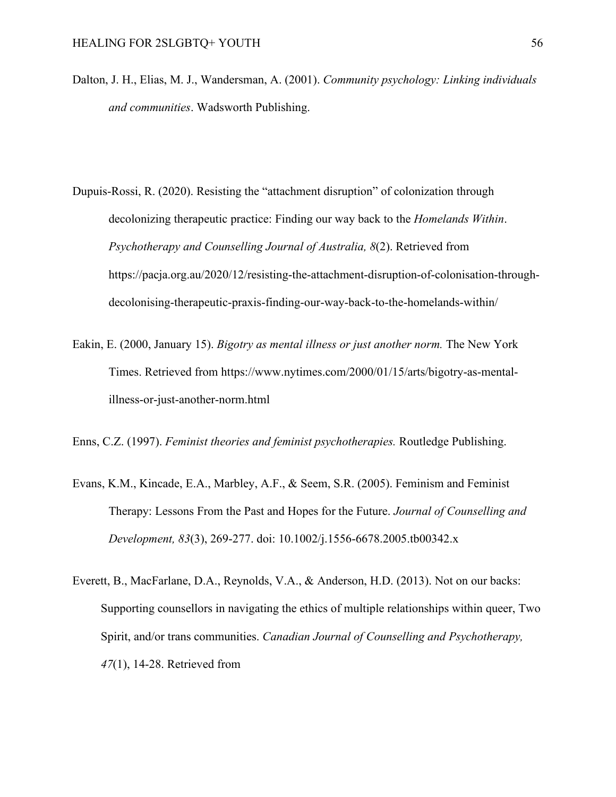- Dalton, J. H., Elias, M. J., Wandersman, A. (2001). *Community psychology: Linking individuals and communities*. Wadsworth Publishing.
- Dupuis-Rossi, R. (2020). Resisting the "attachment disruption" of colonization through decolonizing therapeutic practice: Finding our way back to the *Homelands Within*. *Psychotherapy and Counselling Journal of Australia, 8*(2). Retrieved from https://pacja.org.au/2020/12/resisting-the-attachment-disruption-of-colonisation-throughdecolonising-therapeutic-praxis-finding-our-way-back-to-the-homelands-within/
- Eakin, E. (2000, January 15). *Bigotry as mental illness or just another norm.* The New York Times. Retrieved from https://www.nytimes.com/2000/01/15/arts/bigotry-as-mentalillness-or-just-another-norm.html

Enns, C.Z. (1997). *Feminist theories and feminist psychotherapies.* Routledge Publishing.

- Evans, K.M., Kincade, E.A., Marbley, A.F., & Seem, S.R. (2005). Feminism and Feminist Therapy: Lessons From the Past and Hopes for the Future. *Journal of Counselling and Development, 83*(3), 269-277. doi: 10.1002/j.1556-6678.2005.tb00342.x
- Everett, B., MacFarlane, D.A., Reynolds, V.A., & Anderson, H.D. (2013). Not on our backs: Supporting counsellors in navigating the ethics of multiple relationships within queer, Two Spirit, and/or trans communities. *Canadian Journal of Counselling and Psychotherapy, 47*(1), 14-28. Retrieved from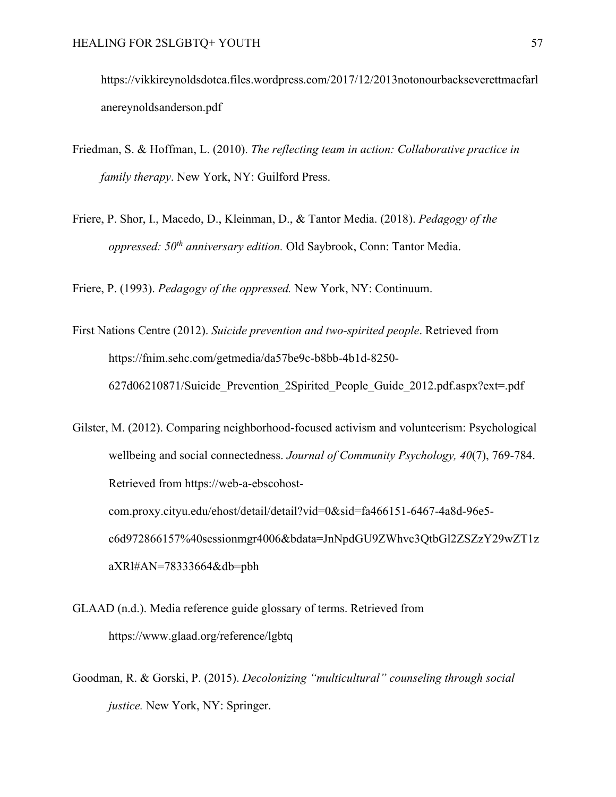https://vikkireynoldsdotca.files.wordpress.com/2017/12/2013notonourbackseverettmacfarl anereynoldsanderson.pdf

- Friedman, S. & Hoffman, L. (2010). *The reflecting team in action: Collaborative practice in family therapy*. New York, NY: Guilford Press.
- Friere, P. Shor, I., Macedo, D., Kleinman, D., & Tantor Media. (2018). *Pedagogy of the oppressed: 50th anniversary edition.* Old Saybrook, Conn: Tantor Media.

Friere, P. (1993). *Pedagogy of the oppressed.* New York, NY: Continuum.

First Nations Centre (2012). *Suicide prevention and two-spirited people*. Retrieved from https://fnim.sehc.com/getmedia/da57be9c-b8bb-4b1d-8250- 627d06210871/Suicide\_Prevention\_2Spirited\_People\_Guide\_2012.pdf.aspx?ext=.pdf

Gilster, M. (2012). Comparing neighborhood-focused activism and volunteerism: Psychological wellbeing and social connectedness. *Journal of Community Psychology, 40*(7), 769-784. Retrieved from https://web-a-ebscohostcom.proxy.cityu.edu/ehost/detail/detail?vid=0&sid=fa466151-6467-4a8d-96e5 c6d972866157%40sessionmgr4006&bdata=JnNpdGU9ZWhvc3QtbGl2ZSZzY29wZT1z aXRl#AN=78333664&db=pbh

- GLAAD (n.d.). Media reference guide glossary of terms. Retrieved from https://www.glaad.org/reference/lgbtq
- Goodman, R. & Gorski, P. (2015). *Decolonizing "multicultural" counseling through social justice.* New York, NY: Springer.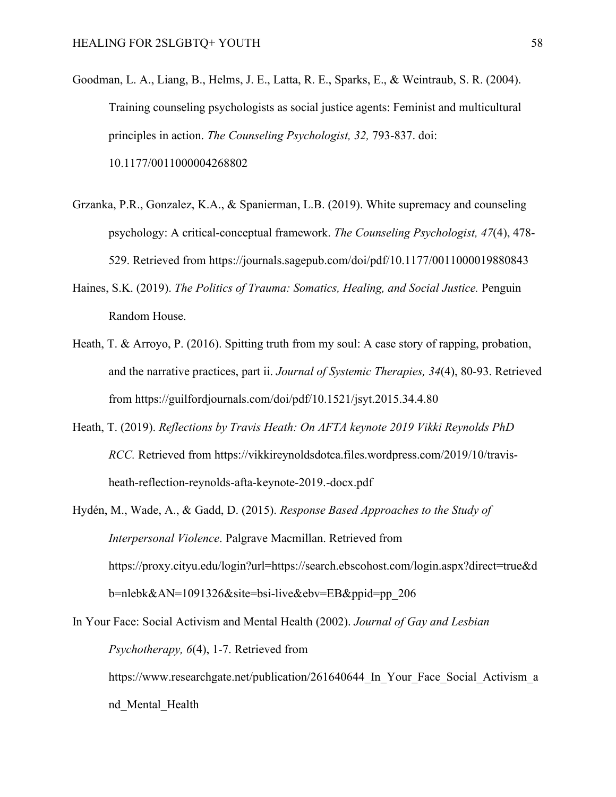- Goodman, L. A., Liang, B., Helms, J. E., Latta, R. E., Sparks, E., & Weintraub, S. R. (2004). Training counseling psychologists as social justice agents: Feminist and multicultural principles in action. *The Counseling Psychologist, 32,* 793-837. doi: 10.1177/0011000004268802
- Grzanka, P.R., Gonzalez, K.A., & Spanierman, L.B. (2019). White supremacy and counseling psychology: A critical-conceptual framework. *The Counseling Psychologist, 47*(4), 478- 529. Retrieved from https://journals.sagepub.com/doi/pdf/10.1177/0011000019880843
- Haines, S.K. (2019). *The Politics of Trauma: Somatics, Healing, and Social Justice.* Penguin Random House.
- Heath, T. & Arroyo, P. (2016). Spitting truth from my soul: A case story of rapping, probation, and the narrative practices, part ii. *Journal of Systemic Therapies, 34*(4), 80-93. Retrieved from https://guilfordjournals.com/doi/pdf/10.1521/jsyt.2015.34.4.80
- Heath, T. (2019). *Reflections by Travis Heath: On AFTA keynote 2019 Vikki Reynolds PhD RCC.* Retrieved from https://vikkireynoldsdotca.files.wordpress.com/2019/10/travisheath-reflection-reynolds-afta-keynote-2019.-docx.pdf
- Hydén, M., Wade, A., & Gadd, D. (2015). *Response Based Approaches to the Study of Interpersonal Violence*. Palgrave Macmillan. Retrieved from https://proxy.cityu.edu/login?url=https://search.ebscohost.com/login.aspx?direct=true&d b=nlebk&AN=1091326&site=bsi-live&ebv=EB&ppid=pp\_206
- In Your Face: Social Activism and Mental Health (2002). *Journal of Gay and Lesbian Psychotherapy, 6*(4), 1-7. Retrieved from https://www.researchgate.net/publication/261640644 In Your Face Social Activism a nd\_Mental\_Health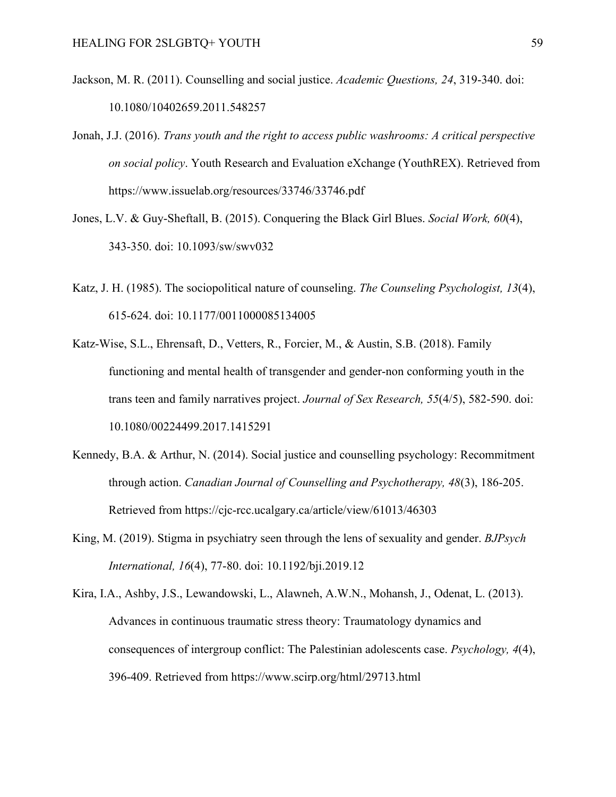- Jackson, M. R. (2011). Counselling and social justice. *Academic Questions, 24*, 319-340. doi: 10.1080/10402659.2011.548257
- Jonah, J.J. (2016). *Trans youth and the right to access public washrooms: A critical perspective on social policy*. Youth Research and Evaluation eXchange (YouthREX). Retrieved from https://www.issuelab.org/resources/33746/33746.pdf
- Jones, L.V. & Guy-Sheftall, B. (2015). Conquering the Black Girl Blues. *Social Work, 60*(4), 343-350. doi: 10.1093/sw/swv032
- Katz, J. H. (1985). The sociopolitical nature of counseling. *The Counseling Psychologist, 13*(4), 615-624. doi: 10.1177/0011000085134005
- Katz-Wise, S.L., Ehrensaft, D., Vetters, R., Forcier, M., & Austin, S.B. (2018). Family functioning and mental health of transgender and gender-non conforming youth in the trans teen and family narratives project. *Journal of Sex Research, 55*(4/5), 582-590. doi: 10.1080/00224499.2017.1415291
- Kennedy, B.A. & Arthur, N. (2014). Social justice and counselling psychology: Recommitment through action. *Canadian Journal of Counselling and Psychotherapy, 48*(3), 186-205. Retrieved from https://cjc-rcc.ucalgary.ca/article/view/61013/46303
- King, M. (2019). Stigma in psychiatry seen through the lens of sexuality and gender. *BJPsych International, 16*(4), 77-80. doi: 10.1192/bji.2019.12
- Kira, I.A., Ashby, J.S., Lewandowski, L., Alawneh, A.W.N., Mohansh, J., Odenat, L. (2013). Advances in continuous traumatic stress theory: Traumatology dynamics and consequences of intergroup conflict: The Palestinian adolescents case. *Psychology, 4*(4), 396-409. Retrieved from https://www.scirp.org/html/29713.html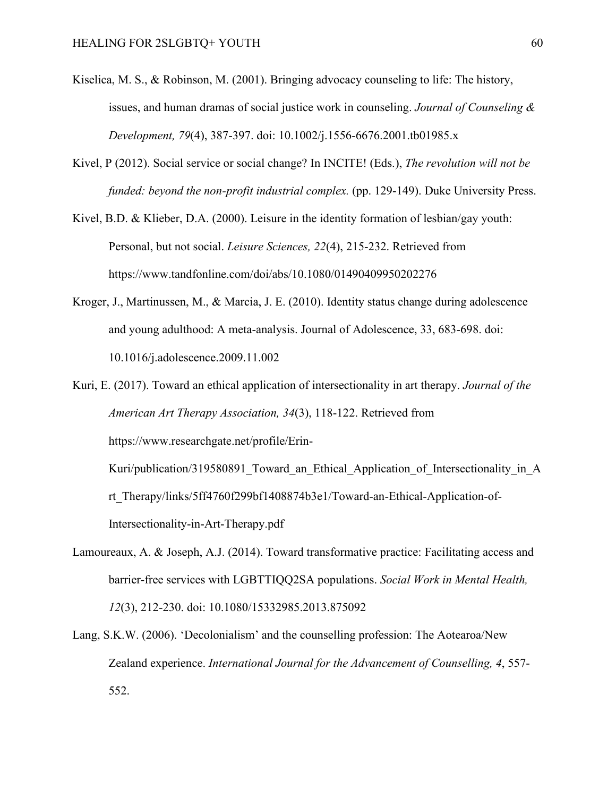- Kiselica, M. S., & Robinson, M. (2001). Bringing advocacy counseling to life: The history, issues, and human dramas of social justice work in counseling. *Journal of Counseling & Development, 79*(4), 387-397. doi: 10.1002/j.1556-6676.2001.tb01985.x
- Kivel, P (2012). Social service or social change? In INCITE! (Eds.), *The revolution will not be funded: beyond the non-profit industrial complex.* (pp. 129-149). Duke University Press.
- Kivel, B.D. & Klieber, D.A. (2000). Leisure in the identity formation of lesbian/gay youth: Personal, but not social. *Leisure Sciences, 22*(4), 215-232. Retrieved from https://www.tandfonline.com/doi/abs/10.1080/01490409950202276
- Kroger, J., Martinussen, M., & Marcia, J. E. (2010). Identity status change during adolescence and young adulthood: A meta-analysis. Journal of Adolescence, 33, 683-698. doi: 10.1016/j.adolescence.2009.11.002
- Kuri, E. (2017). Toward an ethical application of intersectionality in art therapy. *Journal of the American Art Therapy Association, 34*(3), 118-122. Retrieved from https://www.researchgate.net/profile/Erin-Kuri/publication/319580891 Toward an Ethical Application of Intersectionality in A

rt\_Therapy/links/5ff4760f299bf1408874b3e1/Toward-an-Ethical-Application-of-Intersectionality-in-Art-Therapy.pdf

- Lamoureaux, A. & Joseph, A.J. (2014). Toward transformative practice: Facilitating access and barrier-free services with LGBTTIQQ2SA populations. *Social Work in Mental Health, 12*(3), 212-230. doi: 10.1080/15332985.2013.875092
- Lang, S.K.W. (2006). 'Decolonialism' and the counselling profession: The Aotearoa/New Zealand experience. *International Journal for the Advancement of Counselling, 4*, 557- 552.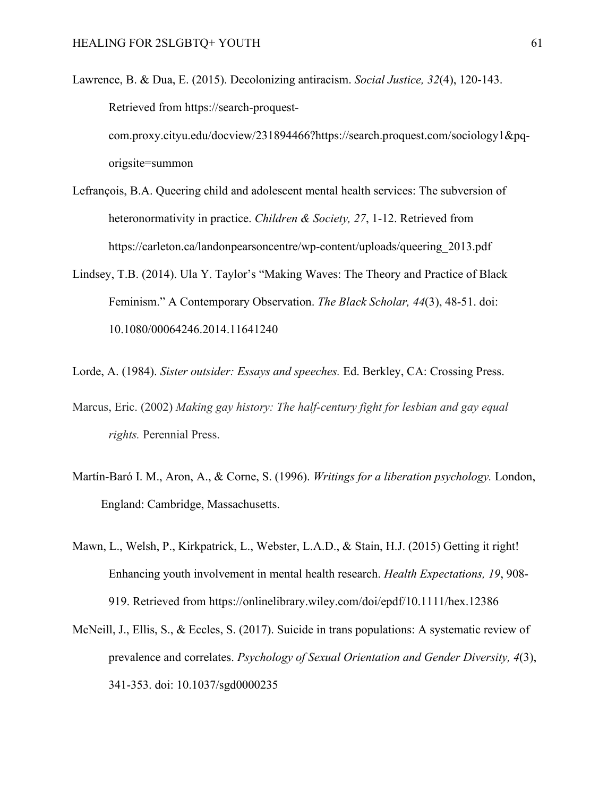Lawrence, B. & Dua, E. (2015). Decolonizing antiracism. *Social Justice, 32*(4), 120-143. Retrieved from https://search-proquestcom.proxy.cityu.edu/docview/231894466?https://search.proquest.com/sociology1&pqorigsite=summon

- Lefrançois, B.A. Queering child and adolescent mental health services: The subversion of heteronormativity in practice. *Children & Society, 27*, 1-12. Retrieved from https://carleton.ca/landonpearsoncentre/wp-content/uploads/queering\_2013.pdf
- Lindsey, T.B. (2014). Ula Y. Taylor's "Making Waves: The Theory and Practice of Black Feminism." A Contemporary Observation. *The Black Scholar, 44*(3), 48-51. doi: 10.1080/00064246.2014.11641240

Lorde, A. (1984). *Sister outsider: Essays and speeches.* Ed. Berkley, CA: Crossing Press.

- Marcus, Eric. (2002) *Making gay history: The half-century fight for lesbian and gay equal rights.* Perennial Press.
- Martín-Baró I. M., Aron, A., & Corne, S. (1996). *Writings for a liberation psychology.* London, England: Cambridge, Massachusetts.
- Mawn, L., Welsh, P., Kirkpatrick, L., Webster, L.A.D., & Stain, H.J. (2015) Getting it right! Enhancing youth involvement in mental health research. *Health Expectations, 19*, 908- 919. Retrieved from https://onlinelibrary.wiley.com/doi/epdf/10.1111/hex.12386
- McNeill, J., Ellis, S., & Eccles, S. (2017). Suicide in trans populations: A systematic review of prevalence and correlates. *Psychology of Sexual Orientation and Gender Diversity, 4*(3), 341-353. doi: 10.1037/sgd0000235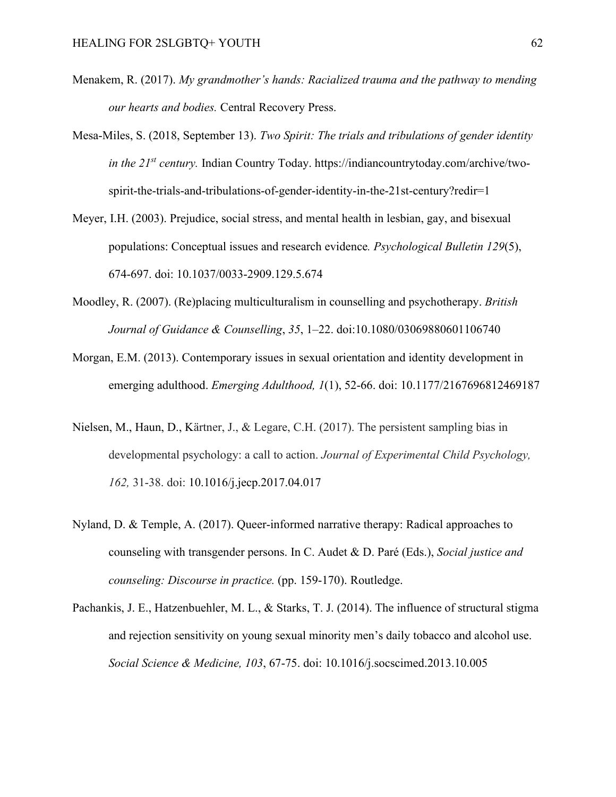- Menakem, R. (2017). *My grandmother's hands: Racialized trauma and the pathway to mending our hearts and bodies.* Central Recovery Press.
- Mesa-Miles, S. (2018, September 13). *Two Spirit: The trials and tribulations of gender identity in the 21st century.* Indian Country Today. https://indiancountrytoday.com/archive/twospirit-the-trials-and-tribulations-of-gender-identity-in-the-21st-century?redir=1
- Meyer, I.H. (2003). Prejudice, social stress, and mental health in lesbian, gay, and bisexual populations: Conceptual issues and research evidence*. Psychological Bulletin 129*(5), 674-697. doi: 10.1037/0033-2909.129.5.674
- Moodley, R. (2007). (Re)placing multiculturalism in counselling and psychotherapy. *British Journal of Guidance & Counselling*, *35*, 1–22. doi:10.1080/03069880601106740
- Morgan, E.M. (2013). Contemporary issues in sexual orientation and identity development in emerging adulthood. *Emerging Adulthood, 1*(1), 52-66. doi: 10.1177/2167696812469187
- Nielsen, M., Haun, D., Kärtner, J., & Legare, C.H. (2017). The persistent sampling bias in developmental psychology: a call to action. *Journal of Experimental Child Psychology, 162,* 31-38. doi: 10.1016/j.jecp.2017.04.017
- Nyland, D. & Temple, A. (2017). Queer-informed narrative therapy: Radical approaches to counseling with transgender persons. In C. Audet & D. Paré (Eds.), *Social justice and counseling: Discourse in practice.* (pp. 159-170). Routledge.
- Pachankis, J. E., Hatzenbuehler, M. L., & Starks, T. J. (2014). The influence of structural stigma and rejection sensitivity on young sexual minority men's daily tobacco and alcohol use. *Social Science & Medicine, 103*, 67-75. doi: 10.1016/j.socscimed.2013.10.005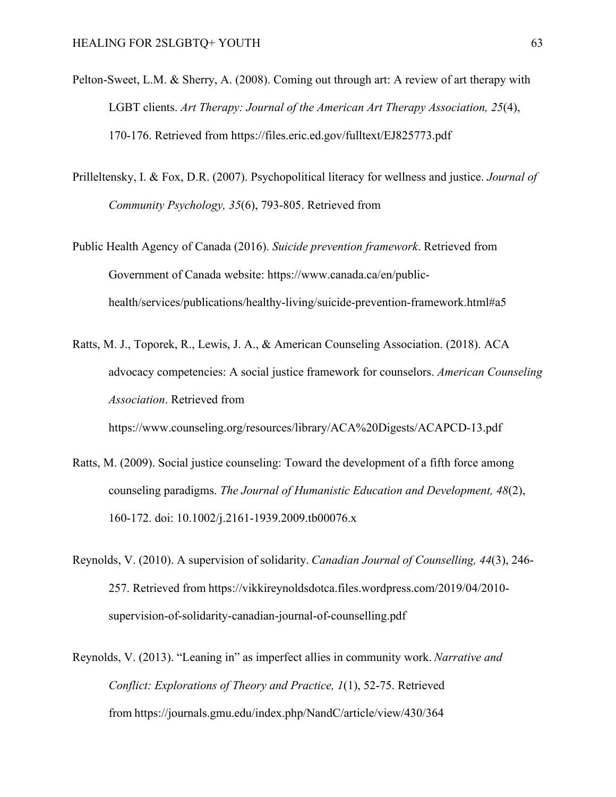- Pelton-Sweet, L.M. & Sherry, A. (2008). Coming out through art: A review of art therapy with LGBT clients. *Art Therapy: Journal of the American Art Therapy Association, 25*(4), 170-176. Retrieved from https://files.eric.ed.gov/fulltext/EJ825773.pdf
- Prilleltensky, I. & Fox, D.R. (2007). Psychopolitical literacy for wellness and justice. *Journal of Community Psychology, 35*(6), 793-805. Retrieved from
- Public Health Agency of Canada (2016). *Suicide prevention framework*. Retrieved from Government of Canada website: https://www.canada.ca/en/publichealth/services/publications/healthy-living/suicide-prevention-framework.html#a5
- Ratts, M. J., Toporek, R., Lewis, J. A., & American Counseling Association. (2018). ACA advocacy competencies: A social justice framework for counselors. *American Counseling Association*. Retrieved from https://www.counseling.org/resources/library/ACA%20Digests/ACAPCD-13.pdf
- Ratts, M. (2009). Social justice counseling: Toward the development of a fifth force among counseling paradigms. *The Journal of Humanistic Education and Development, 48*(2), 160-172. doi: 10.1002/j.2161-1939.2009.tb00076.x
- Reynolds, V. (2010). A supervision of solidarity. *Canadian Journal of Counselling, 44*(3), 246- 257. Retrieved from https://vikkireynoldsdotca.files.wordpress.com/2019/04/2010 supervision-of-solidarity-canadian-journal-of-counselling.pdf
- Reynolds, V. (2013). "Leaning in" as imperfect allies in community work. *Narrative and Conflict: Explorations of Theory and Practice, 1*(1), 52-75. Retrieved from https://journals.gmu.edu/index.php/NandC/article/view/430/364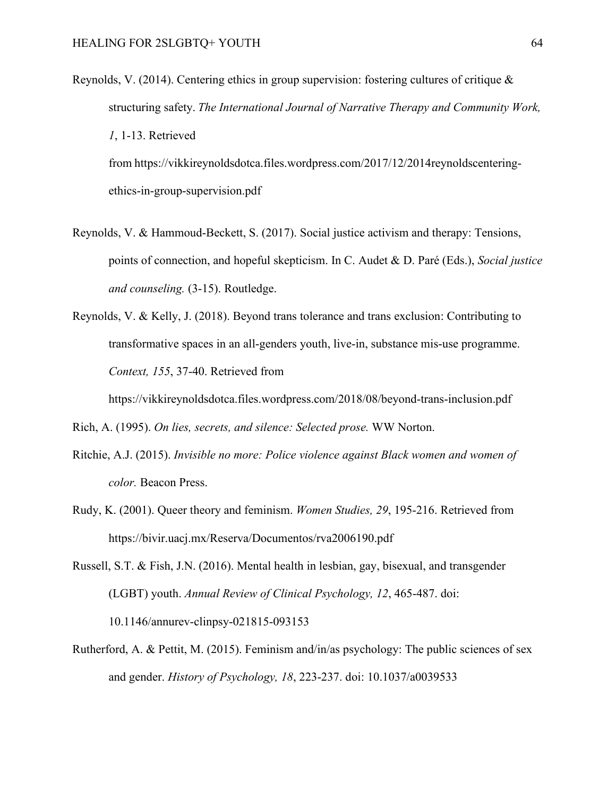Reynolds, V. (2014). Centering ethics in group supervision: fostering cultures of critique  $\&$ structuring safety. *The International Journal of Narrative Therapy and Community Work, 1*, 1-13. Retrieved from https://vikkireynoldsdotca.files.wordpress.com/2017/12/2014reynoldscenteringethics-in-group-supervision.pdf 

- Reynolds, V. & Hammoud-Beckett, S. (2017). Social justice activism and therapy: Tensions, points of connection, and hopeful skepticism. In C. Audet & D. Paré (Eds.), *Social justice and counseling.* (3-15). Routledge.
- Reynolds, V. & Kelly, J. (2018). Beyond trans tolerance and trans exclusion: Contributing to transformative spaces in an all-genders youth, live-in, substance mis-use programme. *Context, 155*, 37-40. Retrieved from

https://vikkireynoldsdotca.files.wordpress.com/2018/08/beyond-trans-inclusion.pdf

Rich, A. (1995). *On lies, secrets, and silence: Selected prose.* WW Norton.

- Ritchie, A.J. (2015). *Invisible no more: Police violence against Black women and women of color.* Beacon Press.
- Rudy, K. (2001). Queer theory and feminism. *Women Studies, 29*, 195-216. Retrieved from https://bivir.uacj.mx/Reserva/Documentos/rva2006190.pdf
- Russell, S.T. & Fish, J.N. (2016). Mental health in lesbian, gay, bisexual, and transgender (LGBT) youth. *Annual Review of Clinical Psychology, 12*, 465-487. doi: 10.1146/annurev-clinpsy-021815-093153
- Rutherford, A. & Pettit, M. (2015). Feminism and/in/as psychology: The public sciences of sex and gender. *History of Psychology, 18*, 223-237. doi: 10.1037/a0039533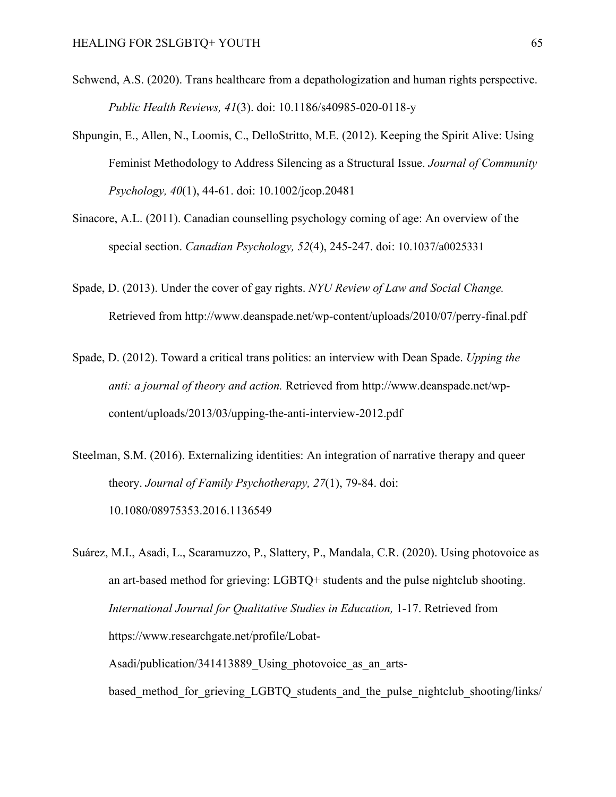- Schwend, A.S. (2020). Trans healthcare from a depathologization and human rights perspective. *Public Health Reviews, 41*(3). doi: 10.1186/s40985-020-0118-y
- Shpungin, E., Allen, N., Loomis, C., DelloStritto, M.E. (2012). Keeping the Spirit Alive: Using Feminist Methodology to Address Silencing as a Structural Issue. *Journal of Community Psychology, 40*(1), 44-61. doi: 10.1002/jcop.20481
- Sinacore, A.L. (2011). Canadian counselling psychology coming of age: An overview of the special section. *Canadian Psychology, 52*(4), 245-247. doi: 10.1037/a0025331
- Spade, D. (2013). Under the cover of gay rights. *NYU Review of Law and Social Change.* Retrieved from http://www.deanspade.net/wp-content/uploads/2010/07/perry-final.pdf
- Spade, D. (2012). Toward a critical trans politics: an interview with Dean Spade. *Upping the anti: a journal of theory and action.* Retrieved from http://www.deanspade.net/wpcontent/uploads/2013/03/upping-the-anti-interview-2012.pdf
- Steelman, S.M. (2016). Externalizing identities: An integration of narrative therapy and queer theory. *Journal of Family Psychotherapy, 27*(1), 79-84. doi: 10.1080/08975353.2016.1136549
- Suárez, M.I., Asadi, L., Scaramuzzo, P., Slattery, P., Mandala, C.R. (2020). Using photovoice as an art-based method for grieving: LGBTQ+ students and the pulse nightclub shooting. *International Journal for Qualitative Studies in Education,* 1-17. Retrieved from https://www.researchgate.net/profile/Lobat-Asadi/publication/341413889 Using photovoice as an artsbased method for grieving LGBTQ students and the pulse nightclub shooting/links/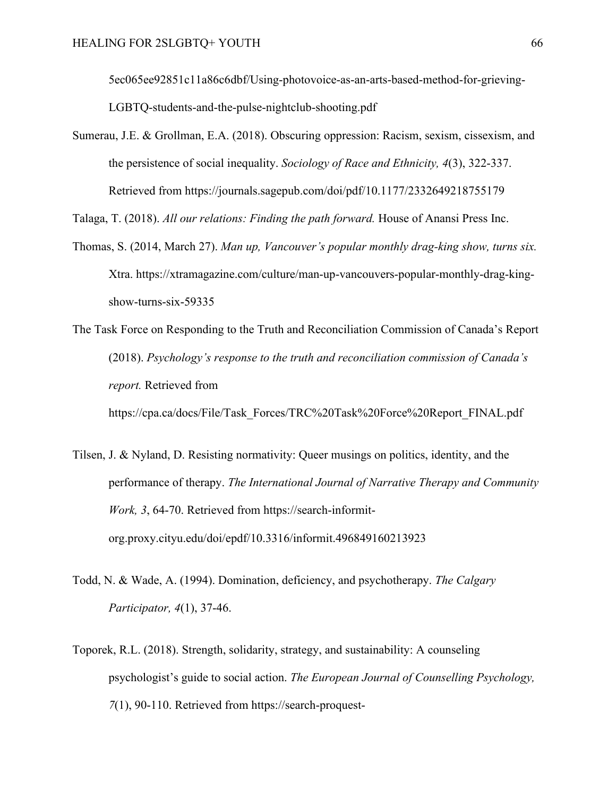5ec065ee92851c11a86c6dbf/Using-photovoice-as-an-arts-based-method-for-grieving-LGBTQ-students-and-the-pulse-nightclub-shooting.pdf

Sumerau, J.E. & Grollman, E.A. (2018). Obscuring oppression: Racism, sexism, cissexism, and the persistence of social inequality. *Sociology of Race and Ethnicity, 4*(3), 322-337. Retrieved from https://journals.sagepub.com/doi/pdf/10.1177/2332649218755179

Talaga, T. (2018). *All our relations: Finding the path forward.* House of Anansi Press Inc.

- Thomas, S. (2014, March 27). *Man up, Vancouver's popular monthly drag-king show, turns six.* Xtra. https://xtramagazine.com/culture/man-up-vancouvers-popular-monthly-drag-kingshow-turns-six-59335
- The Task Force on Responding to the Truth and Reconciliation Commission of Canada's Report (2018). *Psychology's response to the truth and reconciliation commission of Canada's report.* Retrieved from

https://cpa.ca/docs/File/Task\_Forces/TRC%20Task%20Force%20Report\_FINAL.pdf

- Tilsen, J. & Nyland, D. Resisting normativity: Queer musings on politics, identity, and the performance of therapy. *The International Journal of Narrative Therapy and Community Work, 3*, 64-70. Retrieved from https://search-informitorg.proxy.cityu.edu/doi/epdf/10.3316/informit.496849160213923
- Todd, N. & Wade, A. (1994). Domination, deficiency, and psychotherapy. *The Calgary Participator, 4*(1), 37-46.
- Toporek, R.L. (2018). Strength, solidarity, strategy, and sustainability: A counseling psychologist's guide to social action. *The European Journal of Counselling Psychology, 7*(1), 90-110. Retrieved from https://search-proquest-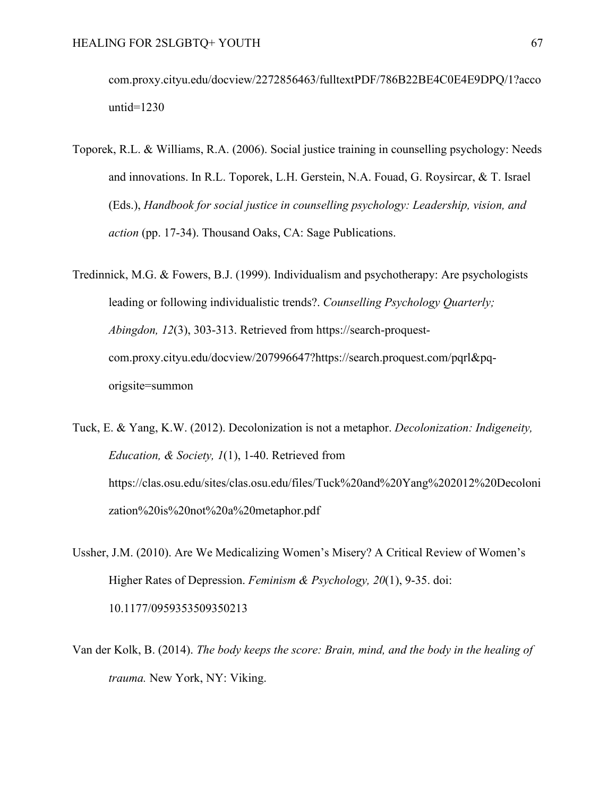com.proxy.cityu.edu/docview/2272856463/fulltextPDF/786B22BE4C0E4E9DPQ/1?acco untid=1230

Toporek, R.L. & Williams, R.A. (2006). Social justice training in counselling psychology: Needs and innovations. In R.L. Toporek, L.H. Gerstein, N.A. Fouad, G. Roysircar, & T. Israel (Eds.), *Handbook for social justice in counselling psychology: Leadership, vision, and action* (pp. 17-34). Thousand Oaks, CA: Sage Publications.

Tredinnick, M.G. & Fowers, B.J. (1999). Individualism and psychotherapy: Are psychologists leading or following individualistic trends?. *Counselling Psychology Quarterly; Abingdon, 12*(3), 303-313. Retrieved from https://search-proquestcom.proxy.cityu.edu/docview/207996647?https://search.proquest.com/pqrl&pqorigsite=summon

Tuck, E. & Yang, K.W. (2012). Decolonization is not a metaphor. *Decolonization: Indigeneity, Education, & Society, 1*(1), 1-40. Retrieved from https://clas.osu.edu/sites/clas.osu.edu/files/Tuck%20and%20Yang%202012%20Decoloni zation%20is%20not%20a%20metaphor.pdf

- Ussher, J.M. (2010). Are We Medicalizing Women's Misery? A Critical Review of Women's Higher Rates of Depression. *Feminism & Psychology, 20*(1), 9-35. doi: 10.1177/0959353509350213
- Van der Kolk, B. (2014). *The body keeps the score: Brain, mind, and the body in the healing of trauma.* New York, NY: Viking.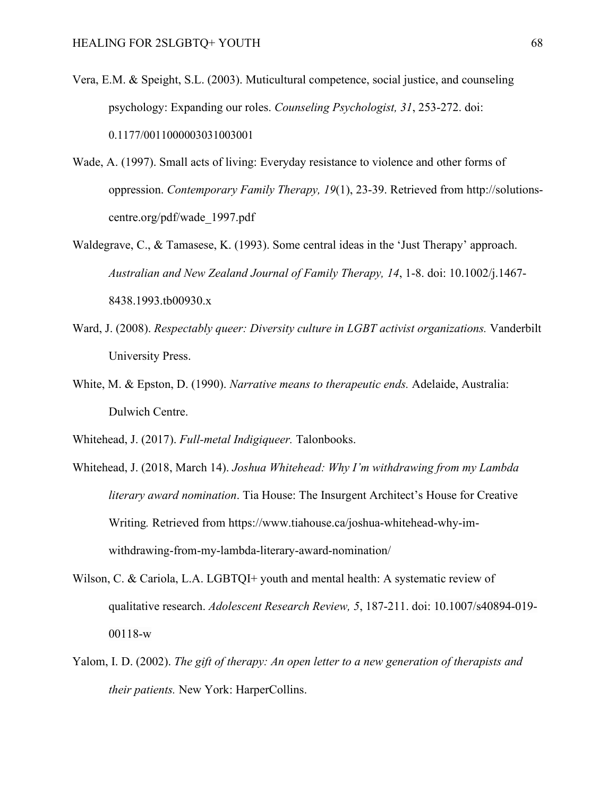- Vera, E.M. & Speight, S.L. (2003). Muticultural competence, social justice, and counseling psychology: Expanding our roles. *Counseling Psychologist, 31*, 253-272. doi: 0.1177/0011000003031003001
- Wade, A. (1997). Small acts of living: Everyday resistance to violence and other forms of oppression. *Contemporary Family Therapy, 19*(1), 23-39. Retrieved from http://solutionscentre.org/pdf/wade\_1997.pdf
- Waldegrave, C., & Tamasese, K. (1993). Some central ideas in the 'Just Therapy' approach. *Australian and New Zealand Journal of Family Therapy, 14*, 1-8. doi: 10.1002/j.1467- 8438.1993.tb00930.x
- Ward, J. (2008). *Respectably queer: Diversity culture in LGBT activist organizations.* Vanderbilt University Press.
- White, M. & Epston, D. (1990). *Narrative means to therapeutic ends.* Adelaide, Australia: Dulwich Centre.
- Whitehead, J. (2017). *Full-metal Indigiqueer.* Talonbooks.
- Whitehead, J. (2018, March 14). *Joshua Whitehead: Why I'm withdrawing from my Lambda literary award nomination*. Tia House: The Insurgent Architect's House for Creative Writing*.* Retrieved from https://www.tiahouse.ca/joshua-whitehead-why-imwithdrawing-from-my-lambda-literary-award-nomination/
- Wilson, C. & Cariola, L.A. LGBTQI+ youth and mental health: A systematic review of qualitative research. *Adolescent Research Review, 5*, 187-211. doi: 10.1007/s40894-019- 00118-w
- Yalom, I. D. (2002). *The gift of therapy: An open letter to a new generation of therapists and their patients.* New York: HarperCollins.